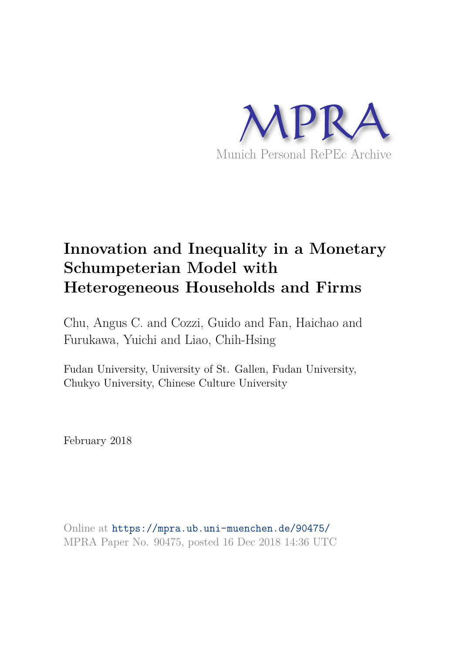

# **Innovation and Inequality in a Monetary Schumpeterian Model with Heterogeneous Households and Firms**

Chu, Angus C. and Cozzi, Guido and Fan, Haichao and Furukawa, Yuichi and Liao, Chih-Hsing

Fudan University, University of St. Gallen, Fudan University, Chukyo University, Chinese Culture University

February 2018

Online at https://mpra.ub.uni-muenchen.de/90475/ MPRA Paper No. 90475, posted 16 Dec 2018 14:36 UTC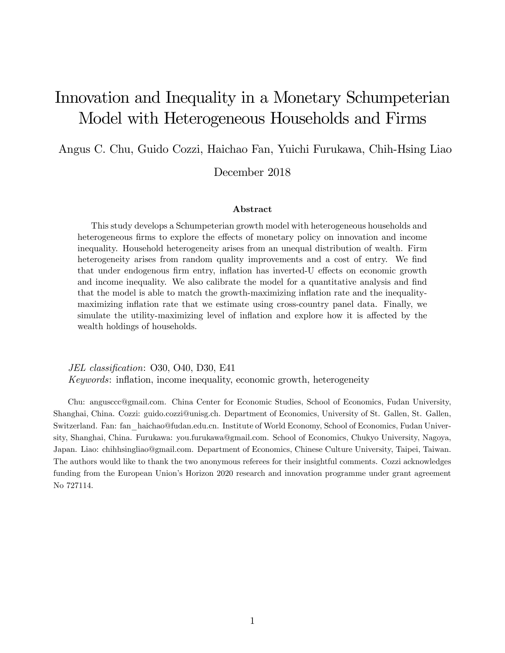# Innovation and Inequality in a Monetary Schumpeterian Model with Heterogeneous Households and Firms

Angus C. Chu, Guido Cozzi, Haichao Fan, Yuichi Furukawa, Chih-Hsing Liao

December 2018

#### Abstract

This study develops a Schumpeterian growth model with heterogeneous households and heterogeneous firms to explore the effects of monetary policy on innovation and income inequality. Household heterogeneity arises from an unequal distribution of wealth. Firm heterogeneity arises from random quality improvements and a cost of entry. We find that under endogenous firm entry, inflation has inverted-U effects on economic growth and income inequality. We also calibrate the model for a quantitative analysis and find that the model is able to match the growth-maximizing inflation rate and the inequalitymaximizing inflation rate that we estimate using cross-country panel data. Finally, we simulate the utility-maximizing level of inflation and explore how it is affected by the wealth holdings of households.

JEL classification: O30, O40, D30, E41 Keywords: inflation, income inequality, economic growth, heterogeneity

Chu: angusccc@gmail.com. China Center for Economic Studies, School of Economics, Fudan University, Shanghai, China. Cozzi: guido.cozzi@unisg.ch. Department of Economics, University of St. Gallen, St. Gallen, Switzerland. Fan: fan\_haichao@fudan.edu.cn. Institute of World Economy, School of Economics, Fudan University, Shanghai, China. Furukawa: you.furukawa@gmail.com. School of Economics, Chukyo University, Nagoya, Japan. Liao: chihhsingliao@gmail.com. Department of Economics, Chinese Culture University, Taipei, Taiwan. The authors would like to thank the two anonymous referees for their insightful comments. Cozzi acknowledges funding from the European Union's Horizon 2020 research and innovation programme under grant agreement No 727114.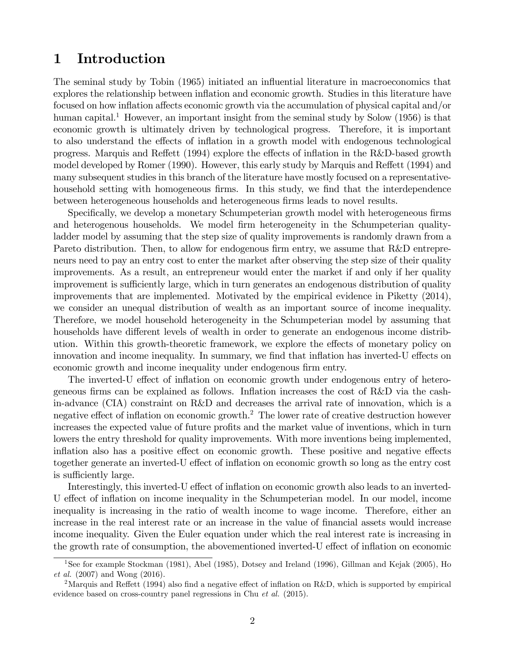# 1 Introduction

The seminal study by Tobin (1965) initiated an influential literature in macroeconomics that explores the relationship between inflation and economic growth. Studies in this literature have focused on how inflation affects economic growth via the accumulation of physical capital and/or human capital.<sup>1</sup> However, an important insight from the seminal study by Solow (1956) is that economic growth is ultimately driven by technological progress. Therefore, it is important to also understand the effects of inflation in a growth model with endogenous technological progress. Marquis and Reffett  $(1994)$  explore the effects of inflation in the R&D-based growth model developed by Romer (1990). However, this early study by Marquis and Reffett (1994) and many subsequent studies in this branch of the literature have mostly focused on a representativehousehold setting with homogeneous firms. In this study, we find that the interdependence between heterogeneous households and heterogeneous Örms leads to novel results.

Specifically, we develop a monetary Schumpeterian growth model with heterogeneous firms and heterogenous households. We model firm heterogeneity in the Schumpeterian qualityladder model by assuming that the step size of quality improvements is randomly drawn from a Pareto distribution. Then, to allow for endogenous firm entry, we assume that R&D entrepreneurs need to pay an entry cost to enter the market after observing the step size of their quality improvements. As a result, an entrepreneur would enter the market if and only if her quality improvement is sufficiently large, which in turn generates an endogenous distribution of quality improvements that are implemented. Motivated by the empirical evidence in Piketty (2014), we consider an unequal distribution of wealth as an important source of income inequality. Therefore, we model household heterogeneity in the Schumpeterian model by assuming that households have different levels of wealth in order to generate an endogenous income distribution. Within this growth-theoretic framework, we explore the effects of monetary policy on innovation and income inequality. In summary, we find that inflation has inverted-U effects on economic growth and income inequality under endogenous firm entry.

The inverted-U effect of inflation on economic growth under endogenous entry of heterogeneous firms can be explained as follows. Inflation increases the cost of  $R\&D$  via the cashin-advance (CIA) constraint on R&D and decreases the arrival rate of innovation, which is a negative effect of inflation on economic growth.<sup>2</sup> The lower rate of creative destruction however increases the expected value of future profits and the market value of inventions, which in turn lowers the entry threshold for quality improvements. With more inventions being implemented, inflation also has a positive effect on economic growth. These positive and negative effects together generate an inverted-U effect of inflation on economic growth so long as the entry cost is sufficiently large.

Interestingly, this inverted-U effect of inflation on economic growth also leads to an inverted-U effect of inflation on income inequality in the Schumpeterian model. In our model, income inequality is increasing in the ratio of wealth income to wage income. Therefore, either an increase in the real interest rate or an increase in the value of financial assets would increase income inequality. Given the Euler equation under which the real interest rate is increasing in the growth rate of consumption, the abovementioned inverted-U effect of inflation on economic

<sup>1</sup>See for example Stockman (1981), Abel (1985), Dotsey and Ireland (1996), Gillman and Kejak (2005), Ho et al. (2007) and Wong (2016).

<sup>&</sup>lt;sup>2</sup>Marquis and Reffett (1994) also find a negative effect of inflation on R&D, which is supported by empirical evidence based on cross-country panel regressions in Chu et al. (2015).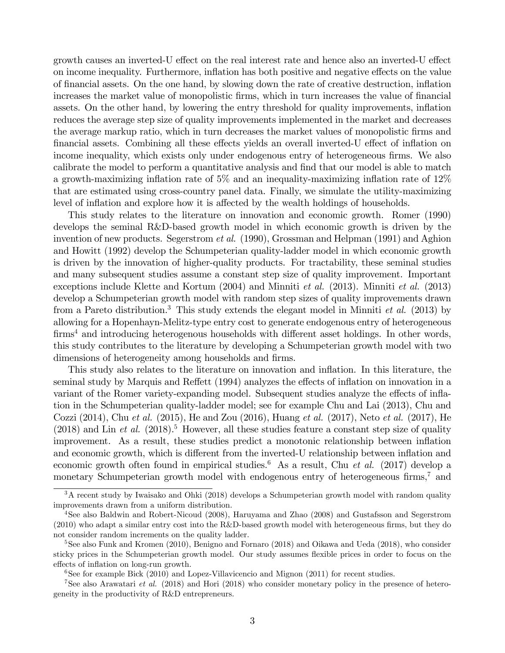growth causes an inverted-U effect on the real interest rate and hence also an inverted-U effect on income inequality. Furthermore, inflation has both positive and negative effects on the value of Önancial assets. On the one hand, by slowing down the rate of creative destruction, ináation increases the market value of monopolistic firms, which in turn increases the value of financial assets. On the other hand, by lowering the entry threshold for quality improvements, inflation reduces the average step size of quality improvements implemented in the market and decreases the average markup ratio, which in turn decreases the market values of monopolistic firms and financial assets. Combining all these effects yields an overall inverted-U effect of inflation on income inequality, which exists only under endogenous entry of heterogeneous firms. We also calibrate the model to perform a quantitative analysis and find that our model is able to match a growth-maximizing inflation rate of 5% and an inequality-maximizing inflation rate of  $12\%$ that are estimated using cross-country panel data. Finally, we simulate the utility-maximizing level of inflation and explore how it is affected by the wealth holdings of households.

This study relates to the literature on innovation and economic growth. Romer (1990) develops the seminal R&D-based growth model in which economic growth is driven by the invention of new products. Segerstrom *et al.* (1990), Grossman and Helpman (1991) and Aghion and Howitt (1992) develop the Schumpeterian quality-ladder model in which economic growth is driven by the innovation of higher-quality products. For tractability, these seminal studies and many subsequent studies assume a constant step size of quality improvement. Important exceptions include Klette and Kortum  $(2004)$  and Minniti *et al.*  $(2013)$ . Minniti *et al.*  $(2013)$ develop a Schumpeterian growth model with random step sizes of quality improvements drawn from a Pareto distribution.<sup>3</sup> This study extends the elegant model in Minniti *et al.* (2013) by allowing for a Hopenhayn-Melitz-type entry cost to generate endogenous entry of heterogeneous  $\text{firms}^4$  and introducing heterogenous households with different asset holdings. In other words, this study contributes to the literature by developing a Schumpeterian growth model with two dimensions of heterogeneity among households and firms.

This study also relates to the literature on innovation and inflation. In this literature, the seminal study by Marquis and Reffett (1994) analyzes the effects of inflation on innovation in a variant of the Romer variety-expanding model. Subsequent studies analyze the effects of inflation in the Schumpeterian quality-ladder model; see for example Chu and Lai (2013), Chu and Cozzi (2014), Chu et al. (2015), He and Zou (2016), Huang et al. (2017), Neto et al. (2017), He  $(2018)$  and Lin *et al.*  $(2018).$ <sup>5</sup> However, all these studies feature a constant step size of quality improvement. As a result, these studies predict a monotonic relationship between ináation and economic growth, which is different from the inverted-U relationship between inflation and economic growth often found in empirical studies.<sup>6</sup> As a result, Chu et al. (2017) develop a monetary Schumpeterian growth model with endogenous entry of heterogeneous  $\widehat{m}$ <sub>rms</sub>,<sup>7</sup> and

<sup>&</sup>lt;sup>3</sup>A recent study by Iwaisako and Ohki (2018) develops a Schumpeterian growth model with random quality improvements drawn from a uniform distribution.

<sup>4</sup>See also Baldwin and Robert-Nicoud (2008), Haruyama and Zhao (2008) and Gustafsson and Segerstrom  $(2010)$  who adapt a similar entry cost into the R&D-based growth model with heterogeneous firms, but they do not consider random increments on the quality ladder.

<sup>&</sup>lt;sup>5</sup>See also Funk and Kromen (2010), Benigno and Fornaro (2018) and Oikawa and Ueda (2018), who consider sticky prices in the Schumpeterian growth model. Our study assumes flexible prices in order to focus on the effects of inflation on long-run growth.

<sup>&</sup>lt;sup>6</sup>See for example Bick (2010) and Lopez-Villavicencio and Mignon (2011) for recent studies.

<sup>&</sup>lt;sup>7</sup>See also Arawatari *et al.* (2018) and Hori (2018) who consider monetary policy in the presence of heterogeneity in the productivity of R&D entrepreneurs.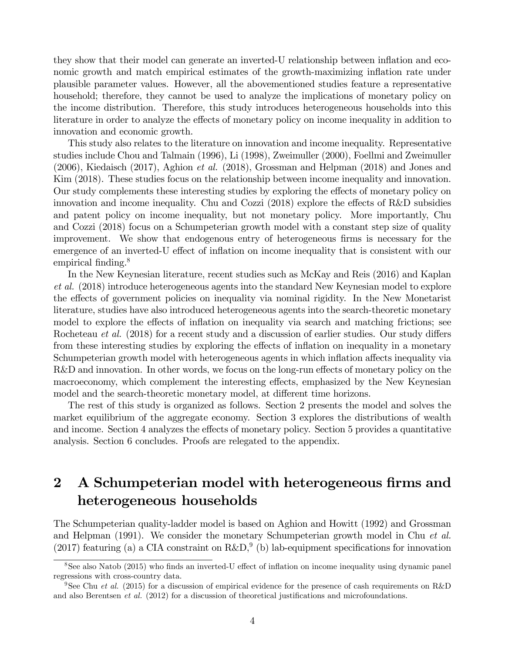they show that their model can generate an inverted-U relationship between inflation and economic growth and match empirical estimates of the growth-maximizing inflation rate under plausible parameter values. However, all the abovementioned studies feature a representative household; therefore, they cannot be used to analyze the implications of monetary policy on the income distribution. Therefore, this study introduces heterogeneous households into this literature in order to analyze the effects of monetary policy on income inequality in addition to innovation and economic growth.

This study also relates to the literature on innovation and income inequality. Representative studies include Chou and Talmain (1996), Li (1998), Zweimuller (2000), Foellmi and Zweimuller  $(2006)$ , Kiedaisch  $(2017)$ , Aghion *et al.*  $(2018)$ , Grossman and Helpman  $(2018)$  and Jones and Kim (2018). These studies focus on the relationship between income inequality and innovation. Our study complements these interesting studies by exploring the effects of monetary policy on innovation and income inequality. Chu and Cozzi  $(2018)$  explore the effects of R&D subsidies and patent policy on income inequality, but not monetary policy. More importantly, Chu and Cozzi (2018) focus on a Schumpeterian growth model with a constant step size of quality improvement. We show that endogenous entry of heterogeneous firms is necessary for the emergence of an inverted-U effect of inflation on income inequality that is consistent with our empirical finding.<sup>8</sup>

In the New Keynesian literature, recent studies such as McKay and Reis (2016) and Kaplan et al. (2018) introduce heterogeneous agents into the standard New Keynesian model to explore the effects of government policies on inequality via nominal rigidity. In the New Monetarist literature, studies have also introduced heterogeneous agents into the search-theoretic monetary model to explore the effects of inflation on inequality via search and matching frictions; see Rocheteau *et al.* (2018) for a recent study and a discussion of earlier studies. Our study differs from these interesting studies by exploring the effects of inflation on inequality in a monetary Schumpeterian growth model with heterogeneous agents in which inflation affects inequality via  $R\&D$  and innovation. In other words, we focus on the long-run effects of monetary policy on the macroeconomy, which complement the interesting effects, emphasized by the New Keynesian model and the search-theoretic monetary model, at different time horizons.

The rest of this study is organized as follows. Section 2 presents the model and solves the market equilibrium of the aggregate economy. Section 3 explores the distributions of wealth and income. Section 4 analyzes the effects of monetary policy. Section 5 provides a quantitative analysis. Section 6 concludes. Proofs are relegated to the appendix.

# 2 A Schumpeterian model with heterogeneous firms and heterogeneous households

The Schumpeterian quality-ladder model is based on Aghion and Howitt (1992) and Grossman and Helpman (1991). We consider the monetary Schumpeterian growth model in Chu et al. (2017) featuring (a) a CIA constraint on  $R\&D,^9$  (b) lab-equipment specifications for innovation

 $8$ See also Natob (2015) who finds an inverted-U effect of inflation on income inequality using dynamic panel regressions with cross-country data.

<sup>&</sup>lt;sup>9</sup>See Chu *et al.* (2015) for a discussion of empirical evidence for the presence of cash requirements on R&D and also Berentsen *et al.* (2012) for a discussion of theoretical justifications and microfoundations.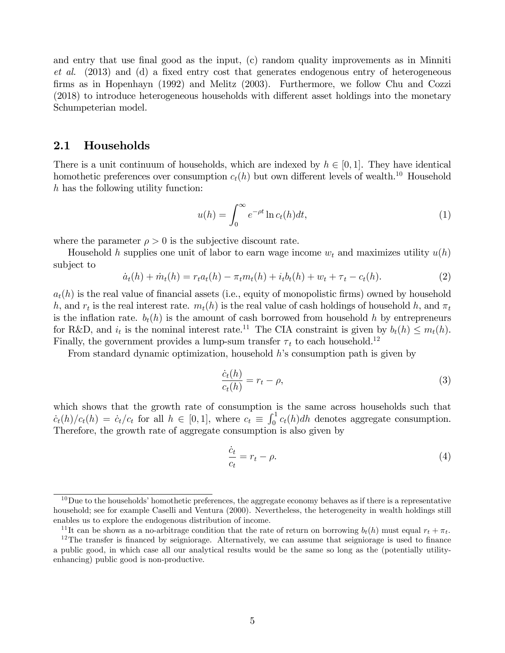and entry that use final good as the input, (c) random quality improvements as in Minniti  $et \ al.$  (2013) and (d) a fixed entry cost that generates endogenous entry of heterogeneous Örms as in Hopenhayn (1992) and Melitz (2003). Furthermore, we follow Chu and Cozzi  $(2018)$  to introduce heterogeneous households with different asset holdings into the monetary Schumpeterian model.

### 2.1 Households

There is a unit continuum of households, which are indexed by  $h \in [0, 1]$ . They have identical homothetic preferences over consumption  $c_t(h)$  but own different levels of wealth.<sup>10</sup> Household h has the following utility function:

$$
u(h) = \int_0^\infty e^{-\rho t} \ln c_t(h) dt,
$$
\n(1)

where the parameter  $\rho > 0$  is the subjective discount rate.

Household h supplies one unit of labor to earn wage income  $w_t$  and maximizes utility  $u(h)$ subject to

$$
\dot{a}_t(h) + \dot{m}_t(h) = r_t a_t(h) - \pi_t m_t(h) + i_t b_t(h) + w_t + \tau_t - c_t(h). \tag{2}
$$

 $a_t(h)$  is the real value of financial assets (i.e., equity of monopolistic firms) owned by household h, and  $r_t$  is the real interest rate.  $m_t(h)$  is the real value of cash holdings of household h, and  $\pi_t$ is the inflation rate.  $b_t(h)$  is the amount of cash borrowed from household h by entrepreneurs for R&D, and  $i_t$  is the nominal interest rate.<sup>11</sup> The CIA constraint is given by  $b_t(h) \leq m_t(h)$ . Finally, the government provides a lump-sum transfer  $\tau_t$  to each household.<sup>12</sup>

From standard dynamic optimization, household  $h$ 's consumption path is given by

$$
\frac{\dot{c}_t(h)}{c_t(h)} = r_t - \rho,\tag{3}
$$

which shows that the growth rate of consumption is the same across households such that  $\dot{c}_t(h)/c_t(h) = \dot{c}_t/c_t$  for all  $h \in [0, 1]$ , where  $c_t \equiv \int_0^1 c_t(h)dh$  denotes aggregate consumption. Therefore, the growth rate of aggregate consumption is also given by

$$
\frac{\dot{c}_t}{c_t} = r_t - \rho. \tag{4}
$$

 $10$ Due to the households' homothetic preferences, the aggregate economy behaves as if there is a representative household; see for example Caselli and Ventura (2000). Nevertheless, the heterogeneity in wealth holdings still enables us to explore the endogenous distribution of income.

<sup>&</sup>lt;sup>11</sup>It can be shown as a no-arbitrage condition that the rate of return on borrowing  $b_t(h)$  must equal  $r_t + \pi_t$ .

 $12$ The transfer is financed by seigniorage. Alternatively, we can assume that seigniorage is used to finance a public good, in which case all our analytical results would be the same so long as the (potentially utilityenhancing) public good is non-productive.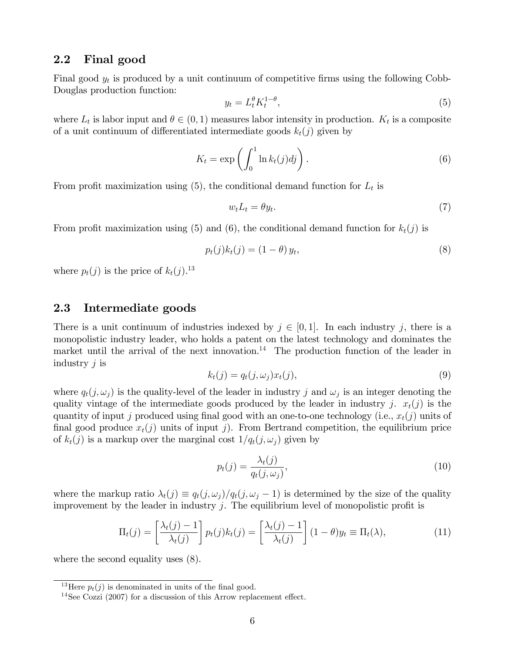### 2.2 Final good

Final good  $y_t$  is produced by a unit continuum of competitive firms using the following Cobb-Douglas production function:

$$
y_t = L_t^{\theta} K_t^{1-\theta},\tag{5}
$$

where  $L_t$  is labor input and  $\theta \in (0,1)$  measures labor intensity in production.  $K_t$  is a composite of a unit continuum of differentiated intermediate goods  $k_t(j)$  given by

$$
K_t = \exp\left(\int_0^1 \ln k_t(j) \, dj\right). \tag{6}
$$

From profit maximization using  $(5)$ , the conditional demand function for  $L_t$  is

$$
w_t L_t = \theta y_t. \tag{7}
$$

From profit maximization using (5) and (6), the conditional demand function for  $k_t(j)$  is

$$
p_t(j)k_t(j) = (1 - \theta)y_t,\tag{8}
$$

where  $p_t(j)$  is the price of  $k_t(j)$ .<sup>13</sup>

### 2.3 Intermediate goods

There is a unit continuum of industries indexed by  $j \in [0, 1]$ . In each industry j, there is a monopolistic industry leader, who holds a patent on the latest technology and dominates the market until the arrival of the next innovation.<sup>14</sup> The production function of the leader in industry  $j$  is

$$
k_t(j) = q_t(j, \omega_j) x_t(j), \tag{9}
$$

where  $q_t(j, \omega_j)$  is the quality-level of the leader in industry j and  $\omega_j$  is an integer denoting the quality vintage of the intermediate goods produced by the leader in industry j.  $x_t(j)$  is the quantity of input j produced using final good with an one-to-one technology (i.e.,  $x_t(j)$  units of final good produce  $x_t(j)$  units of input j). From Bertrand competition, the equilibrium price of  $k_t(j)$  is a markup over the marginal cost  $1/q_t(j, \omega_j)$  given by

$$
p_t(j) = \frac{\lambda_t(j)}{q_t(j, \omega_j)},\tag{10}
$$

where the markup ratio  $\lambda_t(j) \equiv q_t(j, \omega_j)/q_t(j, \omega_j - 1)$  is determined by the size of the quality improvement by the leader in industry  $j$ . The equilibrium level of monopolistic profit is

$$
\Pi_t(j) = \left[\frac{\lambda_t(j) - 1}{\lambda_t(j)}\right] p_t(j) k_t(j) = \left[\frac{\lambda_t(j) - 1}{\lambda_t(j)}\right] (1 - \theta) y_t \equiv \Pi_t(\lambda),\tag{11}
$$

where the second equality uses (8).

<sup>&</sup>lt;sup>13</sup>Here  $p_t(j)$  is denominated in units of the final good.

<sup>&</sup>lt;sup>14</sup>See Cozzi (2007) for a discussion of this Arrow replacement effect.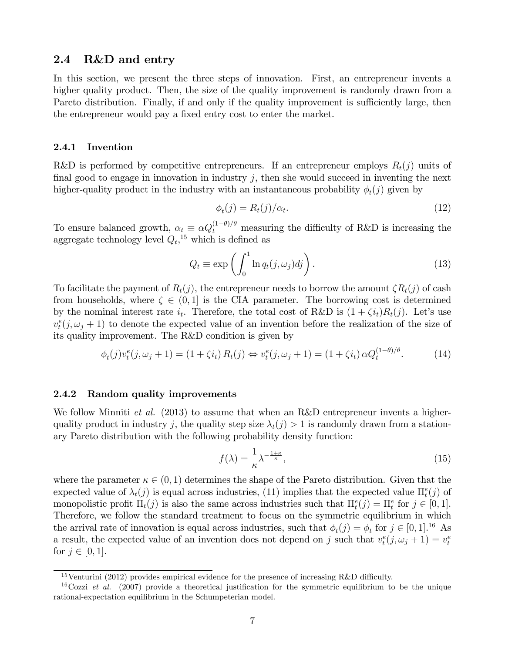### 2.4 R&D and entry

In this section, we present the three steps of innovation. First, an entrepreneur invents a higher quality product. Then, the size of the quality improvement is randomly drawn from a Pareto distribution. Finally, if and only if the quality improvement is sufficiently large, then the entrepreneur would pay a fixed entry cost to enter the market.

#### 2.4.1 Invention

R&D is performed by competitive entrepreneurs. If an entrepreneur employs  $R_t(j)$  units of final good to engage in innovation in industry  $j$ , then she would succeed in inventing the next higher-quality product in the industry with an instantaneous probability  $\phi_t(j)$  given by

$$
\phi_t(j) = R_t(j)/\alpha_t. \tag{12}
$$

To ensure balanced growth,  $\alpha_t \equiv \alpha Q_t^{(1-\theta)/\theta}$  measuring the difficulty of R&D is increasing the aggregate technology level  $Q_t$ ,<sup>15</sup> which is defined as

$$
Q_t \equiv \exp\left(\int_0^1 \ln q_t(j,\omega_j)dj\right).
$$
 (13)

To facilitate the payment of  $R_t(j)$ , the entrepreneur needs to borrow the amount  $\zeta R_t(j)$  of cash from households, where  $\zeta \in (0,1]$  is the CIA parameter. The borrowing cost is determined by the nominal interest rate  $i_t$ . Therefore, the total cost of R&D is  $(1 + \zeta i_t)R_t(j)$ . Let's use  $v_t^e(j, \omega_j + 1)$  to denote the expected value of an invention before the realization of the size of its quality improvement. The R&D condition is given by

$$
\phi_t(j)v_t^e(j,\omega_j+1) = (1+\zeta i_t) R_t(j) \Leftrightarrow v_t^e(j,\omega_j+1) = (1+\zeta i_t) \alpha Q_t^{(1-\theta)/\theta}.
$$
 (14)

#### 2.4.2 Random quality improvements

We follow Minniti *et al.* (2013) to assume that when an R&D entrepreneur invents a higherquality product in industry j, the quality step size  $\lambda_t(j) > 1$  is randomly drawn from a stationary Pareto distribution with the following probability density function:

$$
f(\lambda) = \frac{1}{\kappa} \lambda^{-\frac{1+\kappa}{\kappa}},\tag{15}
$$

where the parameter  $\kappa \in (0,1)$  determines the shape of the Pareto distribution. Given that the expected value of  $\lambda_t(j)$  is equal across industries, (11) implies that the expected value  $\Pi_t^e(j)$  of monopolistic profit  $\Pi_t(j)$  is also the same across industries such that  $\Pi_t^e(j) = \Pi_t^e$  for  $j \in [0, 1]$ . Therefore, we follow the standard treatment to focus on the symmetric equilibrium in which the arrival rate of innovation is equal across industries, such that  $\phi_t(j) = \phi_t$  for  $j \in [0, 1]$ .<sup>16</sup> As a result, the expected value of an invention does not depend on j such that  $v_t^e(j, \omega_j + 1) = v_t^e$ for  $j \in [0, 1]$ .

<sup>&</sup>lt;sup>15</sup>Venturini (2012) provides empirical evidence for the presence of increasing R&D difficulty.

<sup>&</sup>lt;sup>16</sup>Cozzi *et al.* (2007) provide a theoretical justification for the symmetric equilibrium to be the unique rational-expectation equilibrium in the Schumpeterian model.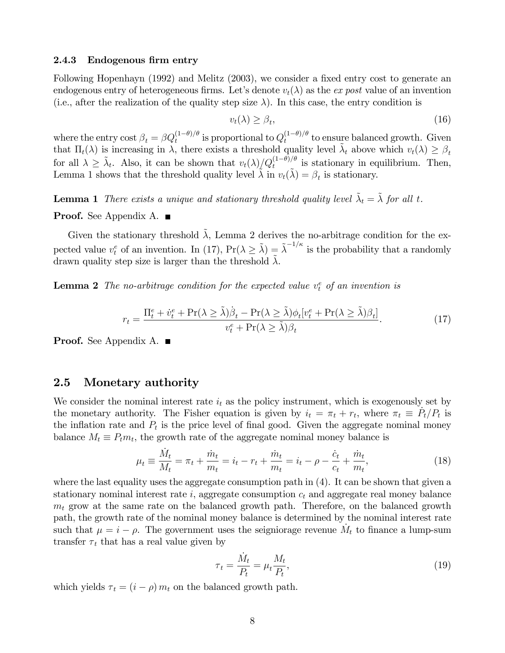#### 2.4.3 Endogenous firm entry

Following Hopenhayn (1992) and Melitz (2003), we consider a fixed entry cost to generate an endogenous entry of heterogeneous firms. Let's denote  $v_t(\lambda)$  as the ex post value of an invention (i.e., after the realization of the quality step size  $\lambda$ ). In this case, the entry condition is

$$
v_t(\lambda) \ge \beta_t,\tag{16}
$$

where the entry cost  $\beta_t = \beta Q_t^{(1-\theta)/\theta}$  is proportional to  $Q_t^{(1-\theta)/\theta}$  $\int_t^{(1-\sigma)/\sigma}$  to ensure balanced growth. Given that  $\Pi_t(\lambda)$  is increasing in  $\lambda$ , there exists a threshold quality level  $\tilde{\lambda}_t$  above which  $v_t(\lambda) \geq \beta_t$ for all  $\lambda \geq \tilde{\lambda}_t$ . Also, it can be shown that  $v_t(\lambda)/Q_t^{(1-\theta)/\theta}$  is stationary in equilibrium. Then, Lemma 1 shows that the threshold quality level  $\tilde{\lambda}$  in  $v_t(\tilde{\lambda}) = \beta_t$  is stationary.

**Lemma 1** There exists a unique and stationary threshold quality level  $\tilde{\lambda}_t = \tilde{\lambda}$  for all t.

#### **Proof.** See Appendix A. ■

Given the stationary threshold  $\lambda$ , Lemma 2 derives the no-arbitrage condition for the expected value  $v_t^e$  of an invention. In (17),  $Pr(\lambda \geq \tilde{\lambda}) = \tilde{\lambda}^{-1/\kappa}$  is the probability that a randomly drawn quality step size is larger than the threshold  $\tilde{\lambda}$ .

**Lemma 2** The no-arbitrage condition for the expected value  $v_t^e$  of an invention is

$$
r_{t} = \frac{\Pi_{t}^{e} + \dot{v}_{t}^{e} + \text{Pr}(\lambda \geq \tilde{\lambda})\beta_{t} - \text{Pr}(\lambda \geq \tilde{\lambda})\phi_{t}[v_{t}^{e} + \text{Pr}(\lambda \geq \tilde{\lambda})\beta_{t}]}{v_{t}^{e} + \text{Pr}(\lambda \geq \tilde{\lambda})\beta_{t}}.
$$
(17)

**Proof.** See Appendix A. ■

### 2.5 Monetary authority

We consider the nominal interest rate  $i_t$  as the policy instrument, which is exogenously set by the monetary authority. The Fisher equation is given by  $i_t = \pi_t + r_t$ , where  $\pi_t \equiv \dot{P}_t / P_t$  is the inflation rate and  $P_t$  is the price level of final good. Given the aggregate nominal money balance  $M_t \equiv P_t m_t$ , the growth rate of the aggregate nominal money balance is

$$
\mu_t = \frac{\dot{M}_t}{M_t} = \pi_t + \frac{\dot{m}_t}{m_t} = \dot{i}_t - r_t + \frac{\dot{m}_t}{m_t} = \dot{i}_t - \rho - \frac{\dot{c}_t}{c_t} + \frac{\dot{m}_t}{m_t},\tag{18}
$$

where the last equality uses the aggregate consumption path in (4). It can be shown that given a stationary nominal interest rate i, aggregate consumption  $c_t$  and aggregate real money balance  $m_t$  grow at the same rate on the balanced growth path. Therefore, on the balanced growth path, the growth rate of the nominal money balance is determined by the nominal interest rate such that  $\mu = i - \rho$ . The government uses the seigniorage revenue  $\dot{M}_t$  to finance a lump-sum transfer  $\tau_t$  that has a real value given by

$$
\tau_t = \frac{\dot{M}_t}{P_t} = \mu_t \frac{M_t}{P_t},\tag{19}
$$

which yields  $\tau_t = (i - \rho) m_t$  on the balanced growth path.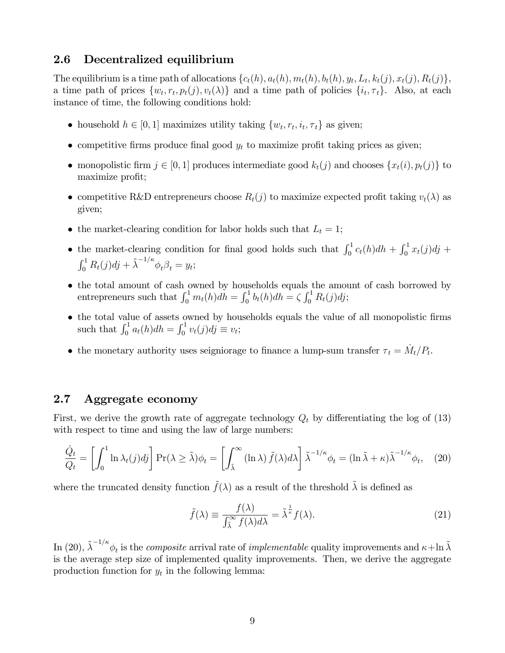## 2.6 Decentralized equilibrium

The equilibrium is a time path of allocations  $\{c_t(h), a_t(h), m_t(h), b_t(h), y_t, L_t, k_t(j), x_t(j), R_t(j)\},$ a time path of prices  $\{w_t, r_t, p_t(j), v_t(\lambda)\}\$  and a time path of policies  $\{i_t, \tau_t\}$ . Also, at each instance of time, the following conditions hold:

- household  $h \in [0, 1]$  maximizes utility taking  $\{w_t, r_t, i_t, \tau_t\}$  as given;
- competitive firms produce final good  $y_t$  to maximize profit taking prices as given;
- monopolistic firm  $j \in [0, 1]$  produces intermediate good  $k_t(j)$  and chooses  $\{x_t(i), p_t(j)\}\)$ maximize profit;
- competitive R&D entrepreneurs choose  $R_t(j)$  to maximize expected profit taking  $v_t(\lambda)$  as given;
- the market-clearing condition for labor holds such that  $L_t = 1$ ;
- the market-clearing condition for final good holds such that  $\int_0^1 c_t(h)dh + \int_0^1 x_t(j)dj +$  $\int_0^1 R_t(j)dj + \tilde{\lambda}^{-1/\kappa} \phi_t \beta_t = y_t;$
- the total amount of cash owned by households equals the amount of cash borrowed by entrepreneurs such that  $\int_0^1 m_t(h)dh = \int_0^1 b_t(h)dh = \zeta \int_0^1 R_t(j)dj;$
- the total value of assets owned by households equals the value of all monopolistic firms such that  $\int_0^1 a_t(h)dh = \int_0^1 v_t(j)dj \equiv v_t;$
- the monetary authority uses seigniorage to finance a lump-sum transfer  $\tau_t = \dot{M}_t / P_t$ .

### 2.7 Aggregate economy

First, we derive the growth rate of aggregate technology  $Q_t$  by differentiating the log of (13) with respect to time and using the law of large numbers:

$$
\frac{\dot{Q}_t}{Q_t} = \left[ \int_0^1 \ln \lambda_t(j) d\mathbf{j} \right] \Pr(\lambda \ge \tilde{\lambda}) \phi_t = \left[ \int_{\tilde{\lambda}}^\infty (\ln \lambda) \, \tilde{f}(\lambda) d\lambda \right] \tilde{\lambda}^{-1/\kappa} \phi_t = (\ln \tilde{\lambda} + \kappa) \tilde{\lambda}^{-1/\kappa} \phi_t, \tag{20}
$$

where the truncated density function  $\tilde{f}(\lambda)$  as a result of the threshold  $\tilde{\lambda}$  is defined as

$$
\tilde{f}(\lambda) \equiv \frac{f(\lambda)}{\int_{\tilde{\lambda}}^{\infty} f(\lambda) d\lambda} = \tilde{\lambda}^{\frac{1}{\kappa}} f(\lambda).
$$
\n(21)

In (20),  $\tilde{\lambda}^{-1/\kappa} \phi_t$  is the *composite* arrival rate of *implementable* quality improvements and  $\kappa$ +ln  $\tilde{\lambda}$ is the average step size of implemented quality improvements. Then, we derive the aggregate production function for  $y_t$  in the following lemma: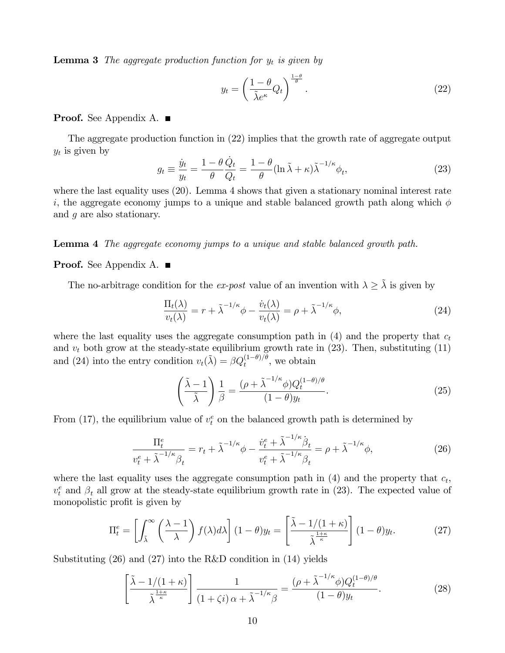**Lemma 3** The aggregate production function for  $y_t$  is given by

$$
y_t = \left(\frac{1-\theta}{\tilde{\lambda}e^{\kappa}}Q_t\right)^{\frac{1-\theta}{\theta}}.\tag{22}
$$

### Proof. See Appendix A. ■

The aggregate production function in (22) implies that the growth rate of aggregate output  $y_t$  is given by

$$
g_t \equiv \frac{\dot{y}_t}{y_t} = \frac{1 - \theta}{\theta} \frac{\dot{Q}_t}{Q_t} = \frac{1 - \theta}{\theta} (\ln \tilde{\lambda} + \kappa) \tilde{\lambda}^{-1/\kappa} \phi_t,
$$
\n(23)

where the last equality uses (20). Lemma 4 shows that given a stationary nominal interest rate i, the aggregate economy jumps to a unique and stable balanced growth path along which  $\phi$ and g are also stationary.

Lemma 4 The aggregate economy jumps to a unique and stable balanced growth path.

#### **Proof.** See Appendix A. ■

The no-arbitrage condition for the ex-post value of an invention with  $\lambda \geq \tilde{\lambda}$  is given by

$$
\frac{\Pi_t(\lambda)}{v_t(\lambda)} = r + \tilde{\lambda}^{-1/\kappa} \phi - \frac{\dot{v}_t(\lambda)}{v_t(\lambda)} = \rho + \tilde{\lambda}^{-1/\kappa} \phi,
$$
\n(24)

where the last equality uses the aggregate consumption path in  $(4)$  and the property that  $c_t$ and  $v_t$  both grow at the steady-state equilibrium growth rate in (23). Then, substituting (11) and (24) into the entry condition  $v_t(\tilde{\lambda}) = \beta Q_t^{(1-\theta)/\theta}$ , we obtain

$$
\left(\frac{\tilde{\lambda}-1}{\tilde{\lambda}}\right)\frac{1}{\beta} = \frac{(\rho + \tilde{\lambda}^{-1/\kappa}\phi)Q_t^{(1-\theta)/\theta}}{(1-\theta)y_t}.
$$
\n(25)

From (17), the equilibrium value of  $v_t^e$  on the balanced growth path is determined by

$$
\frac{\Pi_t^e}{v_t^e + \tilde{\lambda}^{-1/\kappa}\beta_t} = r_t + \tilde{\lambda}^{-1/\kappa}\phi - \frac{\dot{v}_t^e + \tilde{\lambda}^{-1/\kappa}\dot{\beta}_t}{v_t^e + \tilde{\lambda}^{-1/\kappa}\beta_t} = \rho + \tilde{\lambda}^{-1/\kappa}\phi,
$$
\n(26)

where the last equality uses the aggregate consumption path in  $(4)$  and the property that  $c_t$ ,  $v_t^e$  and  $\beta_t$  all grow at the steady-state equilibrium growth rate in (23). The expected value of monopolistic profit is given by

$$
\Pi_t^e = \left[ \int_{\tilde{\lambda}}^{\infty} \left( \frac{\lambda - 1}{\lambda} \right) f(\lambda) d\lambda \right] (1 - \theta) y_t = \left[ \frac{\tilde{\lambda} - 1/(1 + \kappa)}{\tilde{\lambda}^{\frac{1 + \kappa}{\kappa}}} \right] (1 - \theta) y_t.
$$
 (27)

Substituting (26) and (27) into the R&D condition in (14) yields

$$
\left[\frac{\tilde{\lambda} - 1/(1+\kappa)}{\tilde{\lambda}^{\frac{1+\kappa}{\kappa}}}\right] \frac{1}{(1+\zeta i)\,\alpha + \tilde{\lambda}^{-1/\kappa}\beta} = \frac{(\rho + \tilde{\lambda}^{-1/\kappa}\phi)Q_t^{(1-\theta)/\theta}}{(1-\theta)y_t}.\tag{28}
$$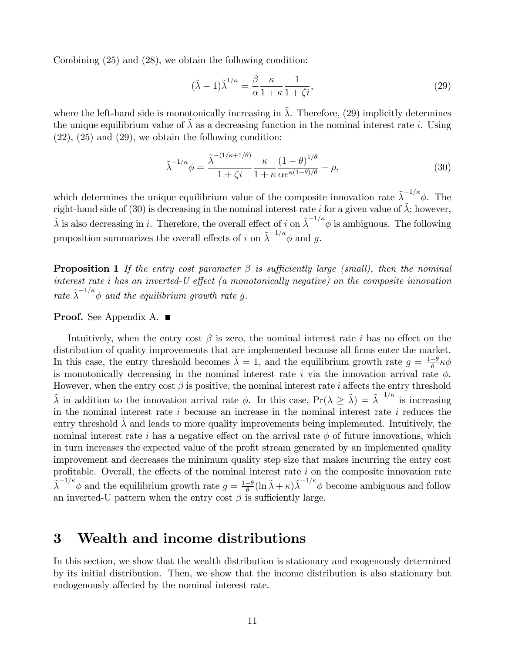Combining (25) and (28), we obtain the following condition:

$$
(\tilde{\lambda} - 1)\tilde{\lambda}^{1/\kappa} = \frac{\beta}{\alpha} \frac{\kappa}{1 + \kappa} \frac{1}{1 + \zeta i},\tag{29}
$$

where the left-hand side is monotonically increasing in  $\tilde{\lambda}$ . Therefore, (29) implicitly determines the unique equilibrium value of  $\lambda$  as a decreasing function in the nominal interest rate *i*. Using  $(22)$ ,  $(25)$  and  $(29)$ , we obtain the following condition:

$$
\tilde{\lambda}^{-1/\kappa}\phi = \frac{\tilde{\lambda}^{-(1/\kappa+1/\theta)}}{1+\zeta i} \frac{\kappa}{1+\kappa} \frac{(1-\theta)^{1/\theta}}{\alpha e^{\kappa(1-\theta)/\theta}} - \rho,\tag{30}
$$

which determines the unique equilibrium value of the composite innovation rate  $\tilde{\lambda}^{-1/\kappa}\phi$ . The right-hand side of (30) is decreasing in the nominal interest rate i for a given value of  $\tilde{\lambda}$ ; however,  $\tilde{\lambda}$  is also decreasing in i. Therefore, the overall effect of i on  $\tilde{\lambda}^{-1/\kappa} \phi$  is ambiguous. The following proposition summarizes the overall effects of i on  $\tilde{\lambda}^{-1/\kappa} \phi$  and g.

**Proposition 1** If the entry cost parameter  $\beta$  is sufficiently large (small), then the nominal interest rate  $i$  has an inverted-U effect (a monotonically negative) on the composite innovation rate  $\tilde{\lambda}^{-1/\kappa} \phi$  and the equilibrium growth rate g.

### Proof. See Appendix A. ■

Intuitively, when the entry cost  $\beta$  is zero, the nominal interest rate i has no effect on the distribution of quality improvements that are implemented because all firms enter the market. In this case, the entry threshold becomes  $\tilde{\lambda} = 1$ , and the equilibrium growth rate  $g = \frac{1-\theta}{\theta}$  $\frac{-\theta}{\theta} \kappa \phi$ is monotonically decreasing in the nominal interest rate i via the innovation arrival rate  $\phi$ . However, when the entry cost  $\beta$  is positive, the nominal interest rate *i* affects the entry threshold  $\tilde{\lambda}$  in addition to the innovation arrival rate  $\phi$ . In this case,  $Pr(\lambda \ge \tilde{\lambda}) = \tilde{\lambda}^{-1/\kappa}$  is increasing in the nominal interest rate  $i$  because an increase in the nominal interest rate  $i$  reduces the entry threshold  $\lambda$  and leads to more quality improvements being implemented. Intuitively, the nominal interest rate i has a negative effect on the arrival rate  $\phi$  of future innovations, which in turn increases the expected value of the profit stream generated by an implemented quality improvement and decreases the minimum quality step size that makes incurring the entry cost profitable. Overall, the effects of the nominal interest rate  $i$  on the composite innovation rate  $\tilde{\lambda}^{-1/\kappa} \phi$  and the equilibrium growth rate  $g = \frac{1-\theta}{\theta}$  $\frac{-\theta}{\theta}$ (ln  $\tilde{\lambda} + \kappa$ ) $\tilde{\lambda}^{-1/\kappa}$  become ambiguous and follow an inverted-U pattern when the entry cost  $\beta$  is sufficiently large.

# 3 Wealth and income distributions

In this section, we show that the wealth distribution is stationary and exogenously determined by its initial distribution. Then, we show that the income distribution is also stationary but endogenously affected by the nominal interest rate.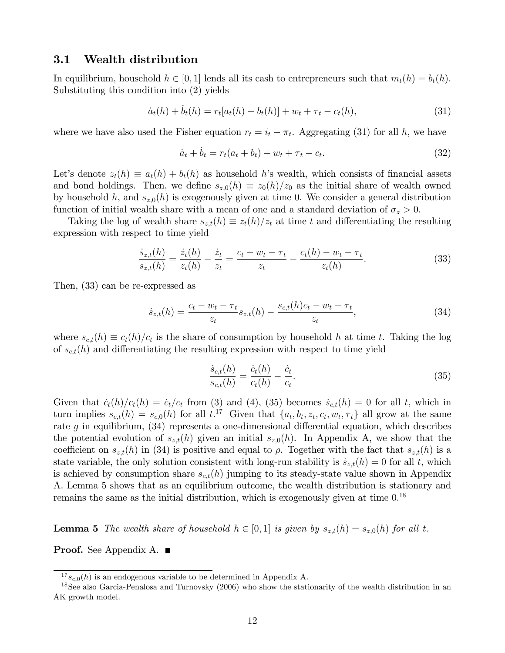### 3.1 Wealth distribution

In equilibrium, household  $h \in [0, 1]$  lends all its cash to entrepreneurs such that  $m_t(h) = b_t(h)$ . Substituting this condition into (2) yields

$$
\dot{a}_t(h) + \dot{b}_t(h) = r_t[a_t(h) + b_t(h)] + w_t + \tau_t - c_t(h),
$$
\n(31)

where we have also used the Fisher equation  $r_t = i_t - \pi_t$ . Aggregating (31) for all h, we have

$$
\dot{a}_t + \dot{b}_t = r_t(a_t + b_t) + w_t + \tau_t - c_t.
$$
\n(32)

Let's denote  $z_t(h) \equiv a_t(h) + b_t(h)$  as household h's wealth, which consists of financial assets and bond holdings. Then, we define  $s_{z,0}(h) \equiv z_0(h)/z_0$  as the initial share of wealth owned by household h, and  $s_{z,0}(h)$  is exogenously given at time 0. We consider a general distribution function of initial wealth share with a mean of one and a standard deviation of  $\sigma_z > 0$ .

Taking the log of wealth share  $s_{z,t}(h) \equiv z_t(h)/z_t$  at time t and differentiating the resulting expression with respect to time yield

$$
\frac{\dot{s}_{z,t}(h)}{s_{z,t}(h)} = \frac{\dot{z}_t(h)}{z_t(h)} - \frac{\dot{z}_t}{z_t} = \frac{c_t - w_t - \tau_t}{z_t} - \frac{c_t(h) - w_t - \tau_t}{z_t(h)}.
$$
\n(33)

Then, (33) can be re-expressed as

$$
\dot{s}_{z,t}(h) = \frac{c_t - w_t - \tau_t}{z_t} s_{z,t}(h) - \frac{s_{c,t}(h)c_t - w_t - \tau_t}{z_t},
$$
\n(34)

where  $s_{c,t}(h) \equiv c_t(h)/c_t$  is the share of consumption by household h at time t. Taking the log of  $s_{c,t}(h)$  and differentiating the resulting expression with respect to time yield

$$
\frac{\dot{s}_{c,t}(h)}{s_{c,t}(h)} = \frac{\dot{c}_t(h)}{c_t(h)} - \frac{\dot{c}_t}{c_t}.
$$
\n(35)

Given that  $\dot{c}_t(h)/c_t(h) = \dot{c}_t/c_t$  from (3) and (4), (35) becomes  $\dot{s}_{c,t}(h) = 0$  for all t, which in turn implies  $s_{c,t}(h) = s_{c,0}(h)$  for all  $t^{17}$ . Given that  $\{a_t, b_t, z_t, c_t, w_t, \tau_t\}$  all grow at the same rate  $g$  in equilibrium, (34) represents a one-dimensional differential equation, which describes the potential evolution of  $s_{z,t}(h)$  given an initial  $s_{z,0}(h)$ . In Appendix A, we show that the coefficient on  $s_{z,t}(h)$  in (34) is positive and equal to  $\rho$ . Together with the fact that  $s_{z,t}(h)$  is a state variable, the only solution consistent with long-run stability is  $\dot{s}_{z,t}(h) = 0$  for all t, which is achieved by consumption share  $s_{c,t}(h)$  jumping to its steady-state value shown in Appendix A. Lemma 5 shows that as an equilibrium outcome, the wealth distribution is stationary and remains the same as the initial distribution, which is exogenously given at time  $0^{18}$ 

**Lemma 5** The wealth share of household  $h \in [0, 1]$  is given by  $s_{z,t}(h) = s_{z,0}(h)$  for all t.

**Proof.** See Appendix A. ■

 $17_{s_{c,0}(h)}$  is an endogenous variable to be determined in Appendix A.

<sup>18</sup>See also Garcia-Penalosa and Turnovsky (2006) who show the stationarity of the wealth distribution in an AK growth model.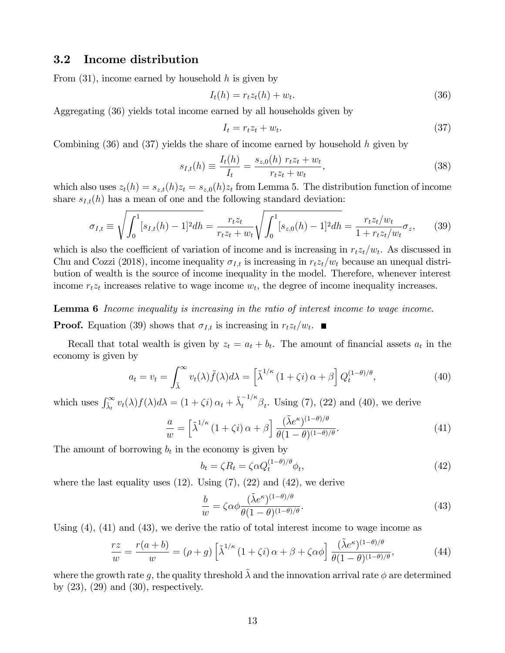### 3.2 Income distribution

From  $(31)$ , income earned by household h is given by

$$
I_t(h) = r_t z_t(h) + w_t.
$$
\n
$$
(36)
$$

Aggregating (36) yields total income earned by all households given by

$$
I_t = r_t z_t + w_t. \tag{37}
$$

Combining  $(36)$  and  $(37)$  yields the share of income earned by household h given by

$$
s_{I,t}(h) \equiv \frac{I_t(h)}{I_t} = \frac{s_{z,0}(h) \ r_t z_t + w_t}{r_t z_t + w_t},
$$
\n(38)

which also uses  $z_t(h) = s_{z,t}(h)z_t = s_{z,0}(h)z_t$  from Lemma 5. The distribution function of income share  $s_{I,t}(h)$  has a mean of one and the following standard deviation:

$$
\sigma_{I,t} \equiv \sqrt{\int_0^1 [s_{I,t}(h) - 1]^2 dh} = \frac{r_t z_t}{r_t z_t + w_t} \sqrt{\int_0^1 [s_{z,0}(h) - 1]^2 dh} = \frac{r_t z_t / w_t}{1 + r_t z_t / w_t} \sigma_z,
$$
(39)

which is also the coefficient of variation of income and is increasing in  $r_t z_t/w_t$ . As discussed in Chu and Cozzi (2018), income inequality  $\sigma_{I,t}$  is increasing in  $r_t z_t/w_t$  because an unequal distribution of wealth is the source of income inequality in the model. Therefore, whenever interest income  $r_t z_t$  increases relative to wage income  $w_t$ , the degree of income inequality increases.

**Lemma 6** Income inequality is increasing in the ratio of interest income to wage income.

**Proof.** Equation (39) shows that  $\sigma_{I,t}$  is increasing in  $r_t z_t/w_t$ .

Recall that total wealth is given by  $z_t = a_t + b_t$ . The amount of financial assets  $a_t$  in the economy is given by

$$
a_t = v_t = \int_{\tilde{\lambda}}^{\infty} v_t(\lambda) \tilde{f}(\lambda) d\lambda = \left[ \tilde{\lambda}^{1/\kappa} \left( 1 + \zeta i \right) \alpha + \beta \right] Q_t^{(1-\theta)/\theta}, \tag{40}
$$

which uses  $\int_{\tilde{\lambda}_t}^{\infty} v_t(\lambda) f(\lambda) d\lambda = (1 + \zeta i) \alpha_t + \tilde{\lambda}_t^{-1/\kappa} \beta_t$ . Using (7), (22) and (40), we derive

$$
\frac{a}{w} = \left[\tilde{\lambda}^{1/\kappa} \left(1 + \zeta i\right)\alpha + \beta\right] \frac{(\tilde{\lambda}e^{\kappa})^{(1-\theta)/\theta}}{\theta(1-\theta)^{(1-\theta)/\theta}}.
$$
\n(41)

The amount of borrowing  $b_t$  in the economy is given by

$$
b_t = \zeta R_t = \zeta \alpha Q_t^{(1-\theta)/\theta} \phi_t,\tag{42}
$$

where the last equality uses  $(12)$ . Using  $(7)$ ,  $(22)$  and  $(42)$ , we derive

$$
\frac{b}{w} = \zeta \alpha \phi \frac{(\tilde{\lambda} e^{\kappa})^{(1-\theta)/\theta}}{\theta (1-\theta)^{(1-\theta)/\theta}}.
$$
\n(43)

Using (4), (41) and (43), we derive the ratio of total interest income to wage income as

$$
\frac{rz}{w} = \frac{r(a+b)}{w} = (\rho + g) \left[ \tilde{\lambda}^{1/\kappa} \left( 1 + \zeta i \right) \alpha + \beta + \zeta \alpha \phi \right] \frac{(\tilde{\lambda} e^{\kappa})^{(1-\theta)/\theta}}{\theta (1-\theta)^{(1-\theta)/\theta}},\tag{44}
$$

where the growth rate q, the quality threshold  $\tilde{\lambda}$  and the innovation arrival rate  $\phi$  are determined by  $(23)$ ,  $(29)$  and  $(30)$ , respectively.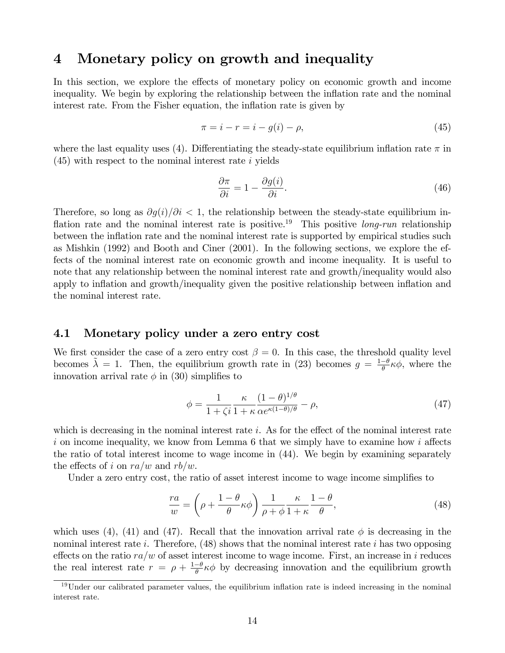# 4 Monetary policy on growth and inequality

In this section, we explore the effects of monetary policy on economic growth and income inequality. We begin by exploring the relationship between the inflation rate and the nominal interest rate. From the Fisher equation, the inflation rate is given by

$$
\pi = i - r = i - g(i) - \rho,\tag{45}
$$

where the last equality uses (4). Differentiating the steady-state equilibrium inflation rate  $\pi$  in  $(45)$  with respect to the nominal interest rate i yields

$$
\frac{\partial \pi}{\partial i} = 1 - \frac{\partial g(i)}{\partial i}.\tag{46}
$$

Therefore, so long as  $\partial q(i)/\partial i < 1$ , the relationship between the steady-state equilibrium inflation rate and the nominal interest rate is positive.<sup>19</sup> This positive *long-run* relationship between the inflation rate and the nominal interest rate is supported by empirical studies such as Mishkin (1992) and Booth and Ciner (2001). In the following sections, we explore the effects of the nominal interest rate on economic growth and income inequality. It is useful to note that any relationship between the nominal interest rate and growth/inequality would also apply to inflation and growth/inequality given the positive relationship between inflation and the nominal interest rate.

### 4.1 Monetary policy under a zero entry cost

We first consider the case of a zero entry cost  $\beta = 0$ . In this case, the threshold quality level becomes  $\tilde{\lambda} = 1$ . Then, the equilibrium growth rate in (23) becomes  $g = \frac{1-\theta}{\theta}$  $\frac{-\theta}{\theta} \kappa \phi$ , where the innovation arrival rate  $\phi$  in (30) simplifies to

$$
\phi = \frac{1}{1 + \zeta i} \frac{\kappa}{1 + \kappa} \frac{(1 - \theta)^{1/\theta}}{\alpha e^{\kappa (1 - \theta)/\theta}} - \rho,\tag{47}
$$

which is decreasing in the nominal interest rate i. As for the effect of the nominal interest rate i on income inequality, we know from Lemma 6 that we simply have to examine how i affects the ratio of total interest income to wage income in (44). We begin by examining separately the effects of i on  $ra/w$  and  $rb/w$ .

Under a zero entry cost, the ratio of asset interest income to wage income simplifies to

$$
\frac{ra}{w} = \left(\rho + \frac{1-\theta}{\theta}\kappa\phi\right)\frac{1}{\rho+\phi}\frac{\kappa}{1+\kappa}\frac{1-\theta}{\theta},\tag{48}
$$

which uses (4), (41) and (47). Recall that the innovation arrival rate  $\phi$  is decreasing in the nominal interest rate i. Therefore,  $(48)$  shows that the nominal interest rate i has two opposing effects on the ratio  $ra/w$  of asset interest income to wage income. First, an increase in i reduces the real interest rate  $r = \rho + \frac{1-\theta}{\theta}$  $\frac{-\theta}{\theta} \kappa \phi$  by decreasing innovation and the equilibrium growth

 $19$ Under our calibrated parameter values, the equilibrium inflation rate is indeed increasing in the nominal interest rate.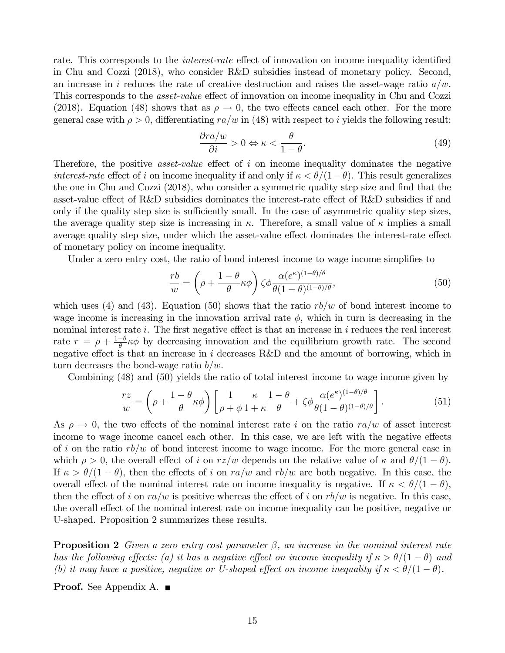rate. This corresponds to the *interest-rate* effect of innovation on income inequality identified in Chu and Cozzi (2018), who consider R&D subsidies instead of monetary policy. Second, an increase in i reduces the rate of creative destruction and raises the asset-wage ratio  $a/w$ . This corresponds to the *asset-value* effect of innovation on income inequality in Chu and Cozzi (2018). Equation (48) shows that as  $\rho \to 0$ , the two effects cancel each other. For the more general case with  $\rho > 0$ , differentiating  $ra/w$  in (48) with respect to i yields the following result:

$$
\frac{\partial r a/w}{\partial i} > 0 \Leftrightarrow \kappa < \frac{\theta}{1 - \theta}.\tag{49}
$$

Therefore, the positive *asset-value* effect of i on income inequality dominates the negative interest-rate effect of i on income inequality if and only if  $\kappa < \theta/(1-\theta)$ . This result generalizes the one in Chu and Cozzi (2018), who consider a symmetric quality step size and find that the asset-value effect of R&D subsidies dominates the interest-rate effect of R&D subsidies if and only if the quality step size is sufficiently small. In the case of asymmetric quality step sizes, the average quality step size is increasing in  $\kappa$ . Therefore, a small value of  $\kappa$  implies a small average quality step size, under which the asset-value effect dominates the interest-rate effect of monetary policy on income inequality.

Under a zero entry cost, the ratio of bond interest income to wage income simplifies to

$$
\frac{rb}{w} = \left(\rho + \frac{1-\theta}{\theta}\kappa\phi\right)\zeta\phi \frac{\alpha(e^{\kappa})^{(1-\theta)/\theta}}{\theta(1-\theta)^{(1-\theta)/\theta}},\tag{50}
$$

which uses (4) and (43). Equation (50) shows that the ratio  $rb/w$  of bond interest income to wage income is increasing in the innovation arrival rate  $\phi$ , which in turn is decreasing in the nominal interest rate  $i$ . The first negative effect is that an increase in  $i$  reduces the real interest rate  $r = \rho + \frac{1-\theta}{\theta}$  $\frac{-\theta}{\theta} \kappa \phi$  by decreasing innovation and the equilibrium growth rate. The second negative effect is that an increase in i decreases  $R&D$  and the amount of borrowing, which in turn decreases the bond-wage ratio  $b/w$ .

Combining (48) and (50) yields the ratio of total interest income to wage income given by

$$
\frac{rz}{w} = \left(\rho + \frac{1-\theta}{\theta}\kappa\phi\right) \left[\frac{1}{\rho+\phi}\frac{\kappa}{1+\kappa}\frac{1-\theta}{\theta} + \zeta\phi \frac{\alpha(e^{\kappa})^{(1-\theta)/\theta}}{\theta(1-\theta)^{(1-\theta)/\theta}}\right].
$$
\n(51)

As  $\rho \rightarrow 0$ , the two effects of the nominal interest rate i on the ratio  $ra/w$  of asset interest income to wage income cancel each other. In this case, we are left with the negative effects of i on the ratio  $rb/w$  of bond interest income to wage income. For the more general case in which  $\rho > 0$ , the overall effect of i on  $rz/w$  depends on the relative value of  $\kappa$  and  $\theta/(1 - \theta)$ . If  $\kappa > \theta/(1 - \theta)$ , then the effects of i on  $ra/w$  and  $rb/w$  are both negative. In this case, the overall effect of the nominal interest rate on income inequality is negative. If  $\kappa < \theta/(1 - \theta)$ , then the effect of i on  $ra/w$  is positive whereas the effect of i on  $rb/w$  is negative. In this case, the overall effect of the nominal interest rate on income inequality can be positive, negative or U-shaped. Proposition 2 summarizes these results.

**Proposition 2** Given a zero entry cost parameter  $\beta$ , an increase in the nominal interest rate has the following effects: (a) it has a negative effect on income inequality if  $\kappa > \theta/(1 - \theta)$  and (b) it may have a positive, negative or U-shaped effect on income inequality if  $\kappa < \theta/(1 - \theta)$ .

**Proof.** See Appendix A. ■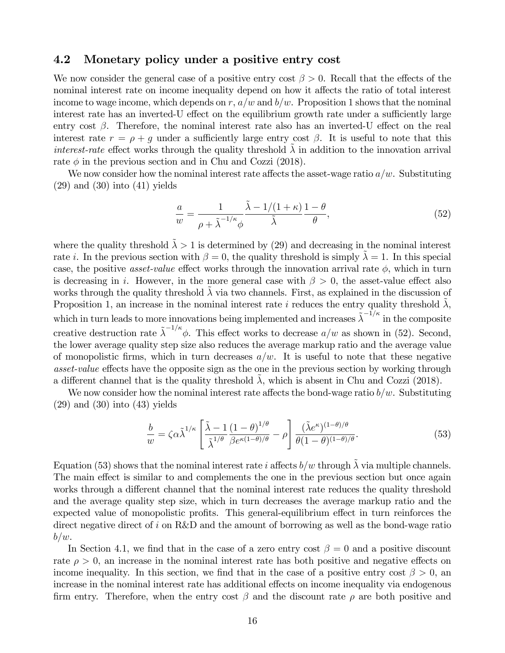### 4.2 Monetary policy under a positive entry cost

We now consider the general case of a positive entry cost  $\beta > 0$ . Recall that the effects of the nominal interest rate on income inequality depend on how it affects the ratio of total interest income to wage income, which depends on r,  $a/w$  and  $b/w$ . Proposition 1 shows that the nominal interest rate has an inverted-U effect on the equilibrium growth rate under a sufficiently large entry cost  $\beta$ . Therefore, the nominal interest rate also has an inverted-U effect on the real interest rate  $r = \rho + g$  under a sufficiently large entry cost  $\beta$ . It is useful to note that this interest-rate effect works through the quality threshold  $\lambda$  in addition to the innovation arrival rate  $\phi$  in the previous section and in Chu and Cozzi (2018).

We now consider how the nominal interest rate affects the asset-wage ratio  $a/w$ . Substituting  $(29)$  and  $(30)$  into  $(41)$  yields

$$
\frac{a}{w} = \frac{1}{\rho + \tilde{\lambda}^{-1/\kappa} \phi} \frac{\tilde{\lambda} - 1/(1 + \kappa)}{\tilde{\lambda}} \frac{1 - \theta}{\theta},\tag{52}
$$

where the quality threshold  $\tilde{\lambda} > 1$  is determined by (29) and decreasing in the nominal interest rate *i*. In the previous section with  $\beta = 0$ , the quality threshold is simply  $\tilde{\lambda} = 1$ . In this special case, the positive *asset-value* effect works through the innovation arrival rate  $\phi$ , which in turn is decreasing in i. However, in the more general case with  $\beta > 0$ , the asset-value effect also works through the quality threshold  $\lambda$  via two channels. First, as explained in the discussion of Proposition 1, an increase in the nominal interest rate i reduces the entry quality threshold  $\lambda$ , which in turn leads to more innovations being implemented and increases  $\tilde{\lambda}^{-1/\kappa}$  in the composite creative destruction rate  $\tilde{\lambda}^{-1/\kappa}\phi$ . This effect works to decrease  $a/w$  as shown in (52). Second, the lower average quality step size also reduces the average markup ratio and the average value of monopolistic firms, which in turn decreases  $a/w$ . It is useful to note that these negative asset-value effects have the opposite sign as the one in the previous section by working through a different channel that is the quality threshold  $\lambda$ , which is absent in Chu and Cozzi (2018).

We now consider how the nominal interest rate affects the bond-wage ratio  $b/w$ . Substituting  $(29)$  and  $(30)$  into  $(43)$  yields

$$
\frac{b}{w} = \zeta \alpha \tilde{\lambda}^{1/\kappa} \left[ \frac{\tilde{\lambda} - 1}{\tilde{\lambda}^{1/\theta}} \frac{(1 - \theta)^{1/\theta}}{\beta e^{\kappa (1 - \theta)/\theta}} - \rho \right] \frac{(\tilde{\lambda} e^{\kappa})^{(1 - \theta)/\theta}}{\theta (1 - \theta)^{(1 - \theta)/\theta}}.
$$
(53)

Equation (53) shows that the nominal interest rate i affects  $b/w$  through  $\lambda$  via multiple channels. The main effect is similar to and complements the one in the previous section but once again works through a different channel that the nominal interest rate reduces the quality threshold and the average quality step size, which in turn decreases the average markup ratio and the expected value of monopolistic profits. This general-equilibrium effect in turn reinforces the direct negative direct of i on R&D and the amount of borrowing as well as the bond-wage ratio  $b/w.$ 

In Section 4.1, we find that in the case of a zero entry cost  $\beta = 0$  and a positive discount rate  $\rho > 0$ , an increase in the nominal interest rate has both positive and negative effects on income inequality. In this section, we find that in the case of a positive entry cost  $\beta > 0$ , and increase in the nominal interest rate has additional effects on income inequality via endogenous firm entry. Therefore, when the entry cost  $\beta$  and the discount rate  $\rho$  are both positive and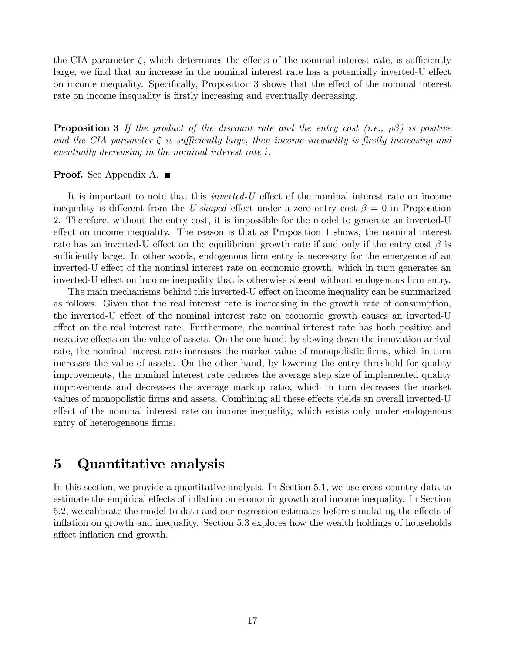the CIA parameter  $\zeta$ , which determines the effects of the nominal interest rate, is sufficiently large, we find that an increase in the nominal interest rate has a potentially inverted-U effect on income inequality. Specifically, Proposition 3 shows that the effect of the nominal interest rate on income inequality is firstly increasing and eventually decreasing.

**Proposition 3** If the product of the discount rate and the entry cost (i.e.,  $\rho\beta$ ) is positive and the CIA parameter  $\zeta$  is sufficiently large, then income inequality is firstly increasing and eventually decreasing in the nominal interest rate i.

#### **Proof.** See Appendix A. ■

It is important to note that this *inverted-U* effect of the nominal interest rate on income inequality is different from the U-shaped effect under a zero entry cost  $\beta = 0$  in Proposition 2. Therefore, without the entry cost, it is impossible for the model to generate an inverted-U effect on income inequality. The reason is that as Proposition 1 shows, the nominal interest rate has an inverted-U effect on the equilibrium growth rate if and only if the entry cost  $\beta$  is sufficiently large. In other words, endogenous firm entry is necessary for the emergence of an inverted-U effect of the nominal interest rate on economic growth, which in turn generates an inverted-U effect on income inequality that is otherwise absent without endogenous firm entry.

The main mechanisms behind this inverted-U effect on income inequality can be summarized as follows. Given that the real interest rate is increasing in the growth rate of consumption, the inverted-U effect of the nominal interest rate on economic growth causes an inverted-U effect on the real interest rate. Furthermore, the nominal interest rate has both positive and negative effects on the value of assets. On the one hand, by slowing down the innovation arrival rate, the nominal interest rate increases the market value of monopolistic firms, which in turn increases the value of assets. On the other hand, by lowering the entry threshold for quality improvements, the nominal interest rate reduces the average step size of implemented quality improvements and decreases the average markup ratio, which in turn decreases the market values of monopolistic firms and assets. Combining all these effects yields an overall inverted-U effect of the nominal interest rate on income inequality, which exists only under endogenous entry of heterogeneous firms.

# 5 Quantitative analysis

In this section, we provide a quantitative analysis. In Section 5.1, we use cross-country data to estimate the empirical effects of inflation on economic growth and income inequality. In Section 5.2, we calibrate the model to data and our regression estimates before simulating the effects of inflation on growth and inequality. Section 5.3 explores how the wealth holdings of households affect inflation and growth.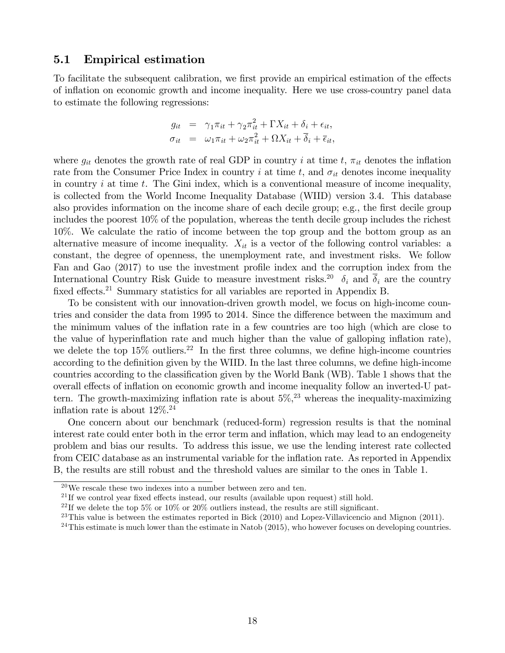### 5.1 Empirical estimation

To facilitate the subsequent calibration, we first provide an empirical estimation of the effects of ináation on economic growth and income inequality. Here we use cross-country panel data to estimate the following regressions:

$$
g_{it} = \gamma_1 \pi_{it} + \gamma_2 \pi_{it}^2 + \Gamma X_{it} + \delta_i + \epsilon_{it},
$$
  
\n
$$
\sigma_{it} = \omega_1 \pi_{it} + \omega_2 \pi_{it}^2 + \Omega X_{it} + \overline{\delta}_i + \overline{\epsilon}_{it},
$$

where  $g_{it}$  denotes the growth rate of real GDP in country i at time t,  $\pi_{it}$  denotes the inflation rate from the Consumer Price Index in country i at time t, and  $\sigma_{it}$  denotes income inequality in country  $i$  at time  $t$ . The Gini index, which is a conventional measure of income inequality, is collected from the World Income Inequality Database (WIID) version 3.4. This database also provides information on the income share of each decile group; e.g., the first decile group includes the poorest 10% of the population, whereas the tenth decile group includes the richest 10%. We calculate the ratio of income between the top group and the bottom group as an alternative measure of income inequality.  $X_{it}$  is a vector of the following control variables: a constant, the degree of openness, the unemployment rate, and investment risks. We follow Fan and Gao (2017) to use the investment profile index and the corruption index from the International Country Risk Guide to measure investment risks.<sup>20</sup>  $\delta_i$  and  $\overline{\delta}_i$  are the country fixed effects.<sup>21</sup> Summary statistics for all variables are reported in Appendix B.

To be consistent with our innovation-driven growth model, we focus on high-income countries and consider the data from 1995 to 2014. Since the difference between the maximum and the minimum values of the ináation rate in a few countries are too high (which are close to the value of hyperinflation rate and much higher than the value of galloping inflation rate), we delete the top  $15\%$  outliers.<sup>22</sup> In the first three columns, we define high-income countries according to the definition given by the WIID. In the last three columns, we define high-income countries according to the classification given by the World Bank (WB). Table 1 shows that the overall effects of inflation on economic growth and income inequality follow an inverted-U pattern. The growth-maximizing inflation rate is about  $5\%,^{23}$  whereas the inequality-maximizing inflation rate is about  $12\%$ <sup>24</sup>

One concern about our benchmark (reduced-form) regression results is that the nominal interest rate could enter both in the error term and inflation, which may lead to an endogeneity problem and bias our results. To address this issue, we use the lending interest rate collected from CEIC database as an instrumental variable for the inflation rate. As reported in Appendix B, the results are still robust and the threshold values are similar to the ones in Table 1.

 $20$ We rescale these two indexes into a number between zero and ten.

<sup>&</sup>lt;sup>21</sup>If we control year fixed effects instead, our results (available upon request) still hold.

<sup>&</sup>lt;sup>22</sup>If we delete the top 5% or 10% or 20% outliers instead, the results are still significant.

 $^{23}$ This value is between the estimates reported in Bick (2010) and Lopez-Villavicencio and Mignon (2011).

 $^{24}$ This estimate is much lower than the estimate in Natob (2015), who however focuses on developing countries.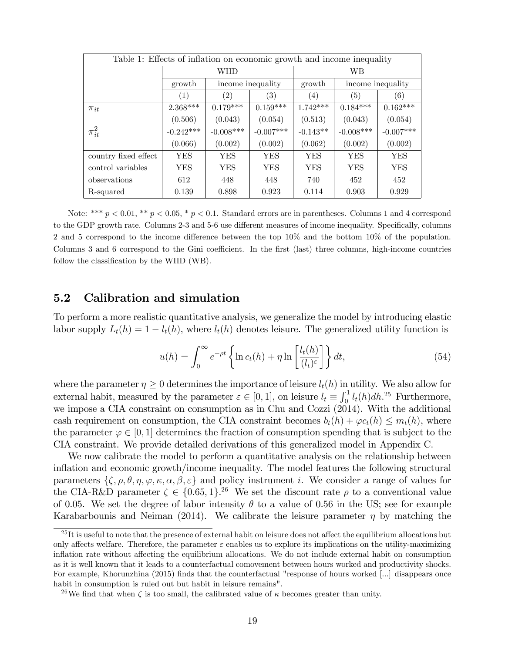| Table 1: Effects of inflation on economic growth and income inequality |                  |                            |                   |            |                   |                   |  |  |
|------------------------------------------------------------------------|------------------|----------------------------|-------------------|------------|-------------------|-------------------|--|--|
|                                                                        |                  | WIID                       |                   | WB.        |                   |                   |  |  |
|                                                                        | growth           |                            | income inequality | growth     | income inequality |                   |  |  |
|                                                                        | $\left(1\right)$ | (2)                        | $\left( 3\right)$ | (4)        | (5)               | $\left( 6\right)$ |  |  |
| $\pi_{it}$                                                             | $2.368***$       | $0.179***$                 | $0.159***$        | $1.742***$ | $0.184***$        | $0.162***$        |  |  |
|                                                                        | (0.506)          | (0.043)                    | (0.054)           | (0.513)    | (0.043)           | (0.054)           |  |  |
| $\pi_{it}^2$                                                           | $-0.242***$      | $-0.008***$<br>$-0.007***$ |                   | $-0.143**$ | $-0.008***$       | $-0.007***$       |  |  |
|                                                                        | (0.066)          | (0.002)                    | (0.002)           | (0.062)    | (0.002)           | (0.002)           |  |  |
| country fixed effect                                                   | <b>YES</b>       | <b>YES</b>                 | <b>YES</b>        | <b>YES</b> | <b>YES</b>        | <b>YES</b>        |  |  |
| control variables                                                      | YES              | <b>YES</b>                 | YES               | <b>YES</b> | YES               | <b>YES</b>        |  |  |
| observations                                                           | 612              | 448                        | 448               | 740        | 452               | 452               |  |  |
| R-squared                                                              | 0.139            | 0.898                      | 0.923             | 0.114      | 0.903             | 0.929             |  |  |

Note: \*\*\*  $p < 0.01$ , \*\*  $p < 0.05$ , \*  $p < 0.1$ . Standard errors are in parentheses. Columns 1 and 4 correspond to the GDP growth rate. Columns 2-3 and 5-6 use different measures of income inequality. Specifically, columns 2 and 5 correspond to the income difference between the top  $10\%$  and the bottom  $10\%$  of the population. Columns 3 and 6 correspond to the Gini coefficient. In the first (last) three columns, high-income countries follow the classification by the WIID (WB).

## 5.2 Calibration and simulation

To perform a more realistic quantitative analysis, we generalize the model by introducing elastic labor supply  $L_t(h) = 1 - l_t(h)$ , where  $l_t(h)$  denotes leisure. The generalized utility function is

$$
u(h) = \int_0^\infty e^{-\rho t} \left\{ \ln c_t(h) + \eta \ln \left[ \frac{l_t(h)}{(l_t)^{\varepsilon}} \right] \right\} dt,\tag{54}
$$

where the parameter  $\eta \geq 0$  determines the importance of leisure  $l_t(h)$  in utility. We also allow for external habit, measured by the parameter  $\varepsilon \in [0, 1]$ , on leisure  $l_t \equiv \int_0^1 l_t(h) dh^{25}$  Furthermore, we impose a CIA constraint on consumption as in Chu and Cozzi (2014). With the additional cash requirement on consumption, the CIA constraint becomes  $b_t(h) + \varphi c_t(h) \leq m_t(h)$ , where the parameter  $\varphi \in [0, 1]$  determines the fraction of consumption spending that is subject to the CIA constraint. We provide detailed derivations of this generalized model in Appendix C.

We now calibrate the model to perform a quantitative analysis on the relationship between inflation and economic growth/income inequality. The model features the following structural parameters  $\{\zeta, \rho, \theta, \eta, \varphi, \kappa, \alpha, \beta, \varepsilon\}$  and policy instrument *i*. We consider a range of values for the CIA-R&D parameter  $\zeta \in \{0.65, 1\}^{26}$  We set the discount rate  $\rho$  to a conventional value of 0.05. We set the degree of labor intensity  $\theta$  to a value of 0.56 in the US; see for example Karabarbounis and Neiman (2014). We calibrate the leisure parameter  $\eta$  by matching the

 $^{25}$ It is useful to note that the presence of external habit on leisure does not affect the equilibrium allocations but only affects welfare. Therefore, the parameter  $\varepsilon$  enables us to explore its implications on the utility-maximizing inflation rate without affecting the equilibrium allocations. We do not include external habit on consumption as it is well known that it leads to a counterfactual comovement between hours worked and productivity shocks. For example, Khorunzhina (2015) finds that the counterfactual "response of hours worked [...] disappears once habit in consumption is ruled out but habit in leisure remains".

<sup>&</sup>lt;sup>26</sup>We find that when  $\zeta$  is too small, the calibrated value of  $\kappa$  becomes greater than unity.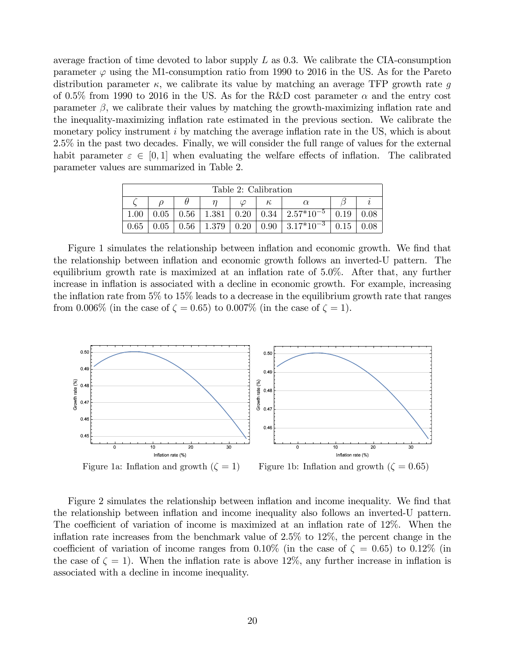average fraction of time devoted to labor supply  $L$  as 0.3. We calibrate the CIA-consumption parameter  $\varphi$  using the M1-consumption ratio from 1990 to 2016 in the US. As for the Pareto distribution parameter  $\kappa$ , we calibrate its value by matching an average TFP growth rate g of 0.5% from 1990 to 2016 in the US. As for the R&D cost parameter  $\alpha$  and the entry cost parameter  $\beta$ , we calibrate their values by matching the growth-maximizing inflation rate and the inequality-maximizing inflation rate estimated in the previous section. We calibrate the monetary policy instrument  $i$  by matching the average inflation rate in the US, which is about 2.5% in the past two decades. Finally, we will consider the full range of values for the external habit parameter  $\varepsilon \in [0, 1]$  when evaluating the welfare effects of inflation. The calibrated parameter values are summarized in Table 2.

| Table 2: Calibration |      |  |  |  |  |                                                             |      |      |  |
|----------------------|------|--|--|--|--|-------------------------------------------------------------|------|------|--|
|                      | К,   |  |  |  |  |                                                             |      |      |  |
| 1.00                 | 0.05 |  |  |  |  | $0.56$   1.381   0.20   0.34   2.57*10 <sup>-5</sup>        | 0.19 |      |  |
| 0.65                 |      |  |  |  |  | $0.05$   0.56   1.379   0.20   0.90   3.17*10 <sup>-3</sup> | 0.15 | 0.08 |  |

Figure 1 simulates the relationship between inflation and economic growth. We find that the relationship between inflation and economic growth follows an inverted-U pattern. The equilibrium growth rate is maximized at an inflation rate of  $5.0\%$ . After that, any further increase in inflation is associated with a decline in economic growth. For example, increasing the inflation rate from  $5\%$  to  $15\%$  leads to a decrease in the equilibrium growth rate that ranges from 0.006% (in the case of  $\zeta = 0.65$ ) to 0.007% (in the case of  $\zeta = 1$ ).



Figure 2 simulates the relationship between inflation and income inequality. We find that the relationship between ináation and income inequality also follows an inverted-U pattern. The coefficient of variation of income is maximized at an inflation rate of  $12\%$ . When the inflation rate increases from the benchmark value of  $2.5\%$  to  $12\%$ , the percent change in the coefficient of variation of income ranges from  $0.10\%$  (in the case of  $\zeta = 0.65$ ) to  $0.12\%$  (in the case of  $\zeta = 1$ ). When the inflation rate is above 12%, any further increase in inflation is associated with a decline in income inequality.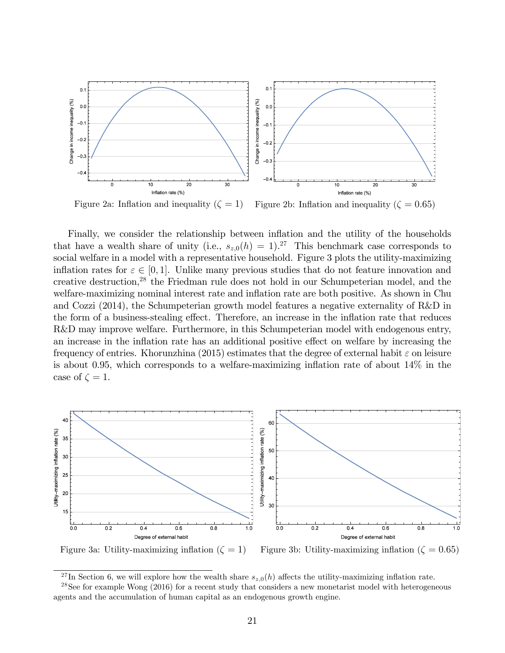

Figure 2a: Inflation and inequality  $(\zeta = 1)$  Figure 2b: Inflation and inequality  $(\zeta = 0.65)$ 

Finally, we consider the relationship between inflation and the utility of the households that have a wealth share of unity (i.e.,  $s_{z,0}(h) = 1$ ).<sup>27</sup> This benchmark case corresponds to social welfare in a model with a representative household. Figure 3 plots the utility-maximizing inflation rates for  $\varepsilon \in [0, 1]$ . Unlike many previous studies that do not feature innovation and creative destruction,<sup>28</sup> the Friedman rule does not hold in our Schumpeterian model, and the welfare-maximizing nominal interest rate and inflation rate are both positive. As shown in Chu and Cozzi (2014), the Schumpeterian growth model features a negative externality of R&D in the form of a business-stealing effect. Therefore, an increase in the inflation rate that reduces R&D may improve welfare. Furthermore, in this Schumpeterian model with endogenous entry, an increase in the inflation rate has an additional positive effect on welfare by increasing the frequency of entries. Khorunzhina (2015) estimates that the degree of external habit  $\varepsilon$  on leisure is about 0.95, which corresponds to a welfare-maximizing inflation rate of about  $14\%$  in the case of  $\zeta = 1$ .



<sup>&</sup>lt;sup>27</sup>In Section 6, we will explore how the wealth share  $s_{z,0}(h)$  affects the utility-maximizing inflation rate.

 $28$ See for example Wong (2016) for a recent study that considers a new monetarist model with heterogeneous agents and the accumulation of human capital as an endogenous growth engine.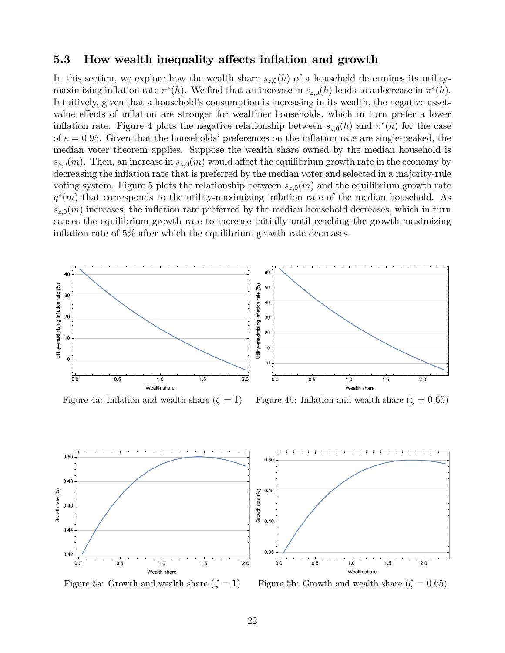### 5.3 How wealth inequality affects inflation and growth

In this section, we explore how the wealth share  $s_{z,0}(h)$  of a household determines its utilitymaximizing inflation rate  $\pi^*(h)$ . We find that an increase in  $s_{z,0}(h)$  leads to a decrease in  $\pi^*(h)$ . Intuitively, given that a household's consumption is increasing in its wealth, the negative assetvalue effects of inflation are stronger for wealthier households, which in turn prefer a lower inflation rate. Figure 4 plots the negative relationship between  $s_{z,0}(h)$  and  $\pi^*(h)$  for the case of  $\varepsilon = 0.95$ . Given that the households' preferences on the inflation rate are single-peaked, the median voter theorem applies. Suppose the wealth share owned by the median household is  $s_{z,0}(m)$ . Then, an increase in  $s_{z,0}(m)$  would affect the equilibrium growth rate in the economy by decreasing the inflation rate that is preferred by the median voter and selected in a majority-rule voting system. Figure 5 plots the relationship between  $s_{z,0}(m)$  and the equilibrium growth rate  $g^*(m)$  that corresponds to the utility-maximizing inflation rate of the median household. As  $s_{z,0}(m)$  increases, the inflation rate preferred by the median household decreases, which in turn causes the equilibrium growth rate to increase initially until reaching the growth-maximizing inflation rate of  $5\%$  after which the equilibrium growth rate decreases.



Figure 4a: Inflation and wealth share  $(\zeta = 1)$  Figure 4b: Inflation and wealth share  $(\zeta = 0.65)$ 





Figure 5a: Growth and wealth share  $(\zeta = 1)$  Figure 5b: Growth and wealth share  $(\zeta = 0.65)$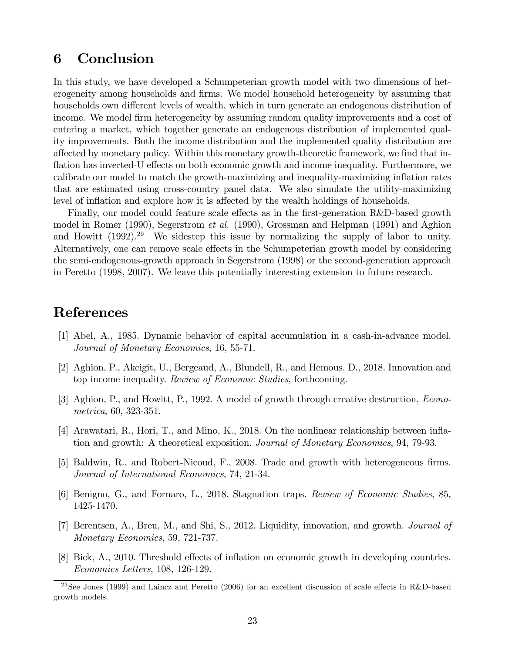# 6 Conclusion

In this study, we have developed a Schumpeterian growth model with two dimensions of heterogeneity among households and firms. We model household heterogeneity by assuming that households own different levels of wealth, which in turn generate an endogenous distribution of income. We model Örm heterogeneity by assuming random quality improvements and a cost of entering a market, which together generate an endogenous distribution of implemented quality improvements. Both the income distribution and the implemented quality distribution are affected by monetary policy. Within this monetary growth-theoretic framework, we find that inflation has inverted-U effects on both economic growth and income inequality. Furthermore, we calibrate our model to match the growth-maximizing and inequality-maximizing inflation rates that are estimated using cross-country panel data. We also simulate the utility-maximizing level of inflation and explore how it is affected by the wealth holdings of households.

Finally, our model could feature scale effects as in the first-generation R&D-based growth model in Romer (1990), Segerstrom et al. (1990), Grossman and Helpman (1991) and Aghion and Howitt  $(1992)^{29}$  We sidestep this issue by normalizing the supply of labor to unity. Alternatively, one can remove scale effects in the Schumpeterian growth model by considering the semi-endogenous-growth approach in Segerstrom (1998) or the second-generation approach in Peretto (1998, 2007). We leave this potentially interesting extension to future research.

# References

- [1] Abel, A., 1985. Dynamic behavior of capital accumulation in a cash-in-advance model. Journal of Monetary Economics, 16, 55-71.
- [2] Aghion, P., Akcigit, U., Bergeaud, A., Blundell, R., and Hemous, D., 2018. Innovation and top income inequality. Review of Economic Studies, forthcoming.
- [3] Aghion, P., and Howitt, P., 1992. A model of growth through creative destruction, Econometrica, 60, 323-351.
- [4] Arawatari, R., Hori, T., and Mino, K., 2018. On the nonlinear relationship between inflation and growth: A theoretical exposition. Journal of Monetary Economics, 94, 79-93.
- [5] Baldwin, R., and Robert-Nicoud, F., 2008. Trade and growth with heterogeneous firms. Journal of International Economics, 74, 21-34.
- [6] Benigno, G., and Fornaro, L., 2018. Stagnation traps. Review of Economic Studies, 85, 1425-1470.
- [7] Berentsen, A., Breu, M., and Shi, S., 2012. Liquidity, innovation, and growth. Journal of Monetary Economics, 59, 721-737.
- [8] Bick, A., 2010. Threshold effects of inflation on economic growth in developing countries. Economics Letters, 108, 126-129.

<sup>&</sup>lt;sup>29</sup>See Jones (1999) and Laincz and Peretto (2006) for an excellent discussion of scale effects in R&D-based growth models.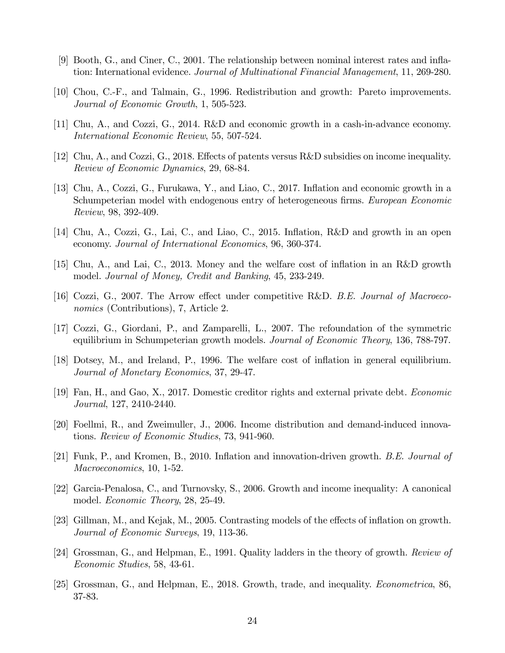- [9] Booth, G., and Ciner, C., 2001. The relationship between nominal interest rates and ináation: International evidence. Journal of Multinational Financial Management, 11, 269-280.
- [10] Chou, C.-F., and Talmain, G., 1996. Redistribution and growth: Pareto improvements. Journal of Economic Growth, 1, 505-523.
- [11] Chu, A., and Cozzi, G., 2014. R&D and economic growth in a cash-in-advance economy. International Economic Review, 55, 507-524.
- [12] Chu, A., and Cozzi, G., 2018. Effects of patents versus R&D subsidies on income inequality. Review of Economic Dynamics, 29, 68-84.
- [13] Chu, A., Cozzi, G., Furukawa, Y., and Liao, C., 2017. Ináation and economic growth in a Schumpeterian model with endogenous entry of heterogeneous firms. European Economic Review, 98, 392-409.
- [14] Chu, A., Cozzi, G., Lai, C., and Liao, C., 2015. Inflation, R&D and growth in an open economy. Journal of International Economics, 96, 360-374.
- [15] Chu, A., and Lai, C., 2013. Money and the welfare cost of ináation in an R&D growth model. Journal of Money, Credit and Banking, 45, 233-249.
- [16] Cozzi, G., 2007. The Arrow effect under competitive R&D. B.E. Journal of Macroeconomics (Contributions), 7, Article 2.
- [17] Cozzi, G., Giordani, P., and Zamparelli, L., 2007. The refoundation of the symmetric equilibrium in Schumpeterian growth models. Journal of Economic Theory, 136, 788-797.
- [18] Dotsey, M., and Ireland, P., 1996. The welfare cost of inflation in general equilibrium. Journal of Monetary Economics, 37, 29-47.
- [19] Fan, H., and Gao, X., 2017. Domestic creditor rights and external private debt. Economic Journal, 127, 2410-2440.
- [20] Foellmi, R., and Zweimuller, J., 2006. Income distribution and demand-induced innovations. Review of Economic Studies, 73, 941-960.
- [21] Funk, P., and Kromen, B., 2010. Inflation and innovation-driven growth. B.E. Journal of Macroeconomics, 10, 1-52.
- [22] Garcia-Penalosa, C., and Turnovsky, S., 2006. Growth and income inequality: A canonical model. Economic Theory, 28, 25-49.
- [23] Gillman, M., and Kejak, M., 2005. Contrasting models of the effects of inflation on growth. Journal of Economic Surveys, 19, 113-36.
- [24] Grossman, G., and Helpman, E., 1991. Quality ladders in the theory of growth. Review of Economic Studies, 58, 43-61.
- [25] Grossman, G., and Helpman, E., 2018. Growth, trade, and inequality. Econometrica, 86, 37-83.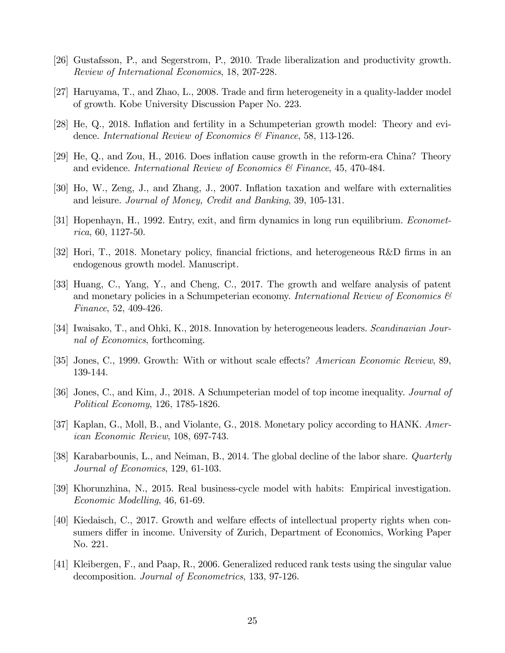- [26] Gustafsson, P., and Segerstrom, P., 2010. Trade liberalization and productivity growth. Review of International Economics, 18, 207-228.
- [27] Haruyama, T., and Zhao, L., 2008. Trade and Örm heterogeneity in a quality-ladder model of growth. Kobe University Discussion Paper No. 223.
- [28] He, Q., 2018. Ináation and fertility in a Schumpeterian growth model: Theory and evidence. International Review of Economics & Finance, 58, 113-126.
- $[29]$  He, Q., and Zou, H., 2016. Does inflation cause growth in the reform-era China? Theory and evidence. International Review of Economics & Finance, 45, 470-484.
- [30] Ho, W., Zeng, J., and Zhang, J., 2007. Ináation taxation and welfare with externalities and leisure. Journal of Money, Credit and Banking, 39, 105-131.
- [31] Hopenhayn, H., 1992. Entry, exit, and firm dynamics in long run equilibrium. *Economet*rica, 60, 1127-50.
- [32] Hori, T., 2018. Monetary policy, Önancial frictions, and heterogeneous R&D Örms in an endogenous growth model. Manuscript.
- [33] Huang, C., Yang, Y., and Cheng, C., 2017. The growth and welfare analysis of patent and monetary policies in a Schumpeterian economy. International Review of Economics  $\mathcal{C}$ Finance, 52, 409-426.
- [34] Iwaisako, T., and Ohki, K., 2018. Innovation by heterogeneous leaders. Scandinavian Journal of Economics, forthcoming.
- [35] Jones, C., 1999. Growth: With or without scale effects? American Economic Review, 89, 139-144.
- [36] Jones, C., and Kim, J., 2018. A Schumpeterian model of top income inequality. Journal of Political Economy, 126, 1785-1826.
- [37] Kaplan, G., Moll, B., and Violante, G., 2018. Monetary policy according to HANK. American Economic Review, 108, 697-743.
- [38] Karabarbounis, L., and Neiman, B., 2014. The global decline of the labor share. Quarterly Journal of Economics, 129, 61-103.
- [39] Khorunzhina, N., 2015. Real business-cycle model with habits: Empirical investigation. Economic Modelling, 46, 61-69.
- [40] Kiedaisch, C., 2017. Growth and welfare effects of intellectual property rights when consumers differ in income. University of Zurich, Department of Economics, Working Paper No. 221.
- [41] Kleibergen, F., and Paap, R., 2006. Generalized reduced rank tests using the singular value decomposition. Journal of Econometrics, 133, 97-126.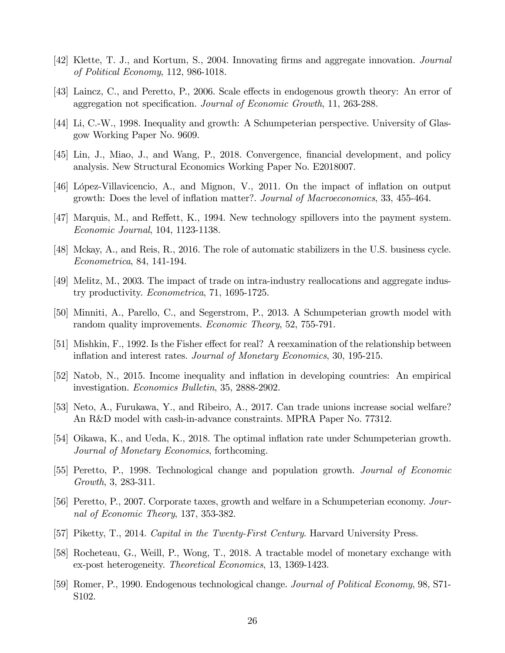- [42] Klette, T. J., and Kortum, S., 2004. Innovating firms and aggregate innovation. *Journal* of Political Economy, 112, 986-1018.
- [43] Laincz, C., and Peretto, P., 2006. Scale effects in endogenous growth theory: An error of aggregation not specification. Journal of Economic Growth, 11, 263-288.
- [44] Li, C.-W., 1998. Inequality and growth: A Schumpeterian perspective. University of Glasgow Working Paper No. 9609.
- [45] Lin, J., Miao, J., and Wang, P., 2018. Convergence, Önancial development, and policy analysis. New Structural Economics Working Paper No. E2018007.
- [46] López-Villavicencio, A., and Mignon, V., 2011. On the impact of inflation on output growth: Does the level of ináation matter?. Journal of Macroeconomics, 33, 455-464.
- [47] Marquis, M., and Reffett, K., 1994. New technology spillovers into the payment system. Economic Journal, 104, 1123-1138.
- [48] Mckay, A., and Reis, R., 2016. The role of automatic stabilizers in the U.S. business cycle. Econometrica, 84, 141-194.
- [49] Melitz, M., 2003. The impact of trade on intra-industry reallocations and aggregate industry productivity. Econometrica, 71, 1695-1725.
- [50] Minniti, A., Parello, C., and Segerstrom, P., 2013. A Schumpeterian growth model with random quality improvements. *Economic Theory*, 52, 755-791.
- [51] Mishkin, F., 1992. Is the Fisher effect for real? A reexamination of the relationship between inflation and interest rates. Journal of Monetary Economics, 30, 195-215.
- [52] Natob, N., 2015. Income inequality and ináation in developing countries: An empirical investigation. Economics Bulletin, 35, 2888-2902.
- [53] Neto, A., Furukawa, Y., and Ribeiro, A., 2017. Can trade unions increase social welfare? An R&D model with cash-in-advance constraints. MPRA Paper No. 77312.
- [54] Oikawa, K., and Ueda, K., 2018. The optimal ináation rate under Schumpeterian growth. Journal of Monetary Economics, forthcoming.
- [55] Peretto, P., 1998. Technological change and population growth. Journal of Economic Growth, 3, 283-311.
- [56] Peretto, P., 2007. Corporate taxes, growth and welfare in a Schumpeterian economy. Journal of Economic Theory, 137, 353-382.
- [57] Piketty, T., 2014. Capital in the Twenty-First Century. Harvard University Press.
- [58] Rocheteau, G., Weill, P., Wong, T., 2018. A tractable model of monetary exchange with ex-post heterogeneity. Theoretical Economics, 13, 1369-1423.
- [59] Romer, P., 1990. Endogenous technological change. Journal of Political Economy, 98, S71- S102.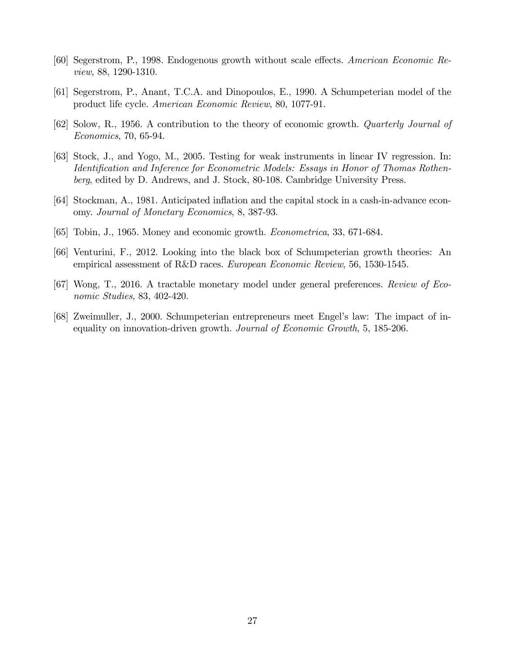- [60] Segerstrom, P., 1998. Endogenous growth without scale effects. American Economic Review, 88, 1290-1310.
- [61] Segerstrom, P., Anant, T.C.A. and Dinopoulos, E., 1990. A Schumpeterian model of the product life cycle. American Economic Review, 80, 1077-91.
- [62] Solow, R., 1956. A contribution to the theory of economic growth. Quarterly Journal of Economics, 70, 65-94.
- [63] Stock, J., and Yogo, M., 2005. Testing for weak instruments in linear IV regression. In: Identification and Inference for Econometric Models: Essays in Honor of Thomas Rothenberg, edited by D. Andrews, and J. Stock, 80-108. Cambridge University Press.
- [64] Stockman, A., 1981. Anticipated inflation and the capital stock in a cash-in-advance economy. Journal of Monetary Economics, 8, 387-93.
- [65] Tobin, J., 1965. Money and economic growth. Econometrica, 33, 671-684.
- [66] Venturini, F., 2012. Looking into the black box of Schumpeterian growth theories: An empirical assessment of R&D races. European Economic Review, 56, 1530-1545.
- [67] Wong, T., 2016. A tractable monetary model under general preferences. Review of Economic Studies, 83, 402-420.
- [68] Zweimuller, J., 2000. Schumpeterian entrepreneurs meet Engelís law: The impact of inequality on innovation-driven growth. Journal of Economic Growth, 5, 185-206.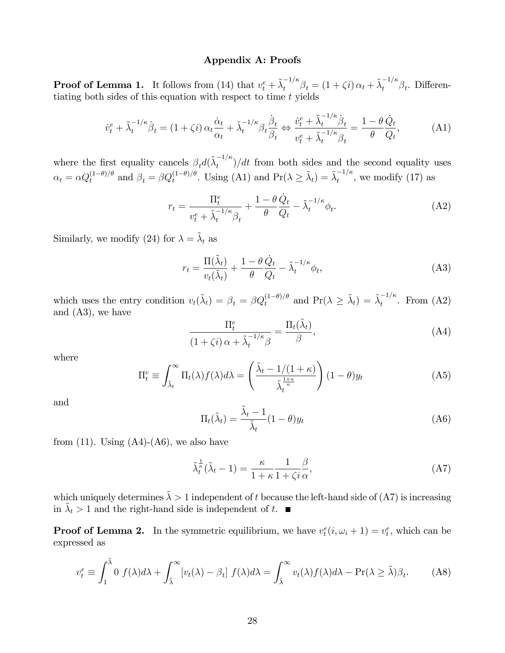### Appendix A: Proofs

**Proof of Lemma 1.** It follows from (14) that  $v_t^e + \tilde{\lambda}_t^{-1/\kappa} \beta_t = (1 + \zeta i) \alpha_t + \tilde{\lambda}_t^{-1/\kappa} \beta_t$ . Differentiating both sides of this equation with respect to time  $t$  yields

$$
\dot{v}_t^e + \tilde{\lambda}_t^{-1/\kappa} \dot{\beta}_t = (1 + \zeta i) \alpha_t \frac{\dot{\alpha}_t}{\alpha_t} + \tilde{\lambda}_t^{-1/\kappa} \beta_t \frac{\dot{\beta}_t}{\beta_t} \Leftrightarrow \frac{\dot{v}_t^e + \tilde{\lambda}_t^{-1/\kappa} \dot{\beta}_t}{v_t^e + \tilde{\lambda}_t^{-1/\kappa} \beta_t} = \frac{1 - \theta}{\theta} \frac{\dot{Q}_t}{Q_t},\tag{A1}
$$

where the first equality cancels  $\beta_td(\tilde{\lambda}_t^{-1/\kappa}$  $t^{\binom{n}{t}}$  at from both sides and the second equality uses  $\alpha_t = \alpha Q_t^{(1-\theta)/\theta}$  and  $\beta_t = \beta Q_t^{(1-\theta)/\theta}$ . Using (A1) and  $\Pr(\lambda \geq \tilde{\lambda}_t) = \tilde{\lambda}_t^{-1/\kappa}$  $t^{1/n}$ , we modify (17) as

$$
r_t = \frac{\Pi_t^e}{v_t^e + \tilde{\lambda}_t^{-1/\kappa} \beta_t} + \frac{1 - \theta}{\theta} \frac{\dot{Q}_t}{Q_t} - \tilde{\lambda}_t^{-1/\kappa} \phi_t.
$$
 (A2)

Similarly, we modify (24) for  $\lambda = \tilde{\lambda}_t$  as

$$
r_t = \frac{\Pi(\tilde{\lambda}_t)}{v_t(\tilde{\lambda}_t)} + \frac{1 - \theta}{\theta} \frac{\dot{Q}_t}{Q_t} - \tilde{\lambda}_t^{-1/\kappa} \phi_t,
$$
 (A3)

which uses the entry condition  $v_t(\tilde{\lambda}_t) = \beta_t = \beta Q_t^{(1-\theta)/\theta}$  and  $Pr(\lambda \geq \tilde{\lambda}_t) = \tilde{\lambda}_t^{-1/\kappa}$  $t^{1/n}$ . From  $(A2)$ and (A3), we have

$$
\frac{\Pi_t^e}{(1+\zeta i)\,\alpha+\tilde{\lambda}_t^{-1/\kappa}\beta} = \frac{\Pi_t(\tilde{\lambda}_t)}{\beta},\tag{A4}
$$

where

$$
\Pi_t^e \equiv \int_{\tilde{\lambda}_t}^{\infty} \Pi_t(\lambda) f(\lambda) d\lambda = \left( \frac{\tilde{\lambda}_t - 1/(1+\kappa)}{\tilde{\lambda}_t^{\frac{1+\kappa}{\kappa}}} \right) (1-\theta) y_t
$$
 (A5)

and

$$
\Pi_t(\tilde{\lambda}_t) = \frac{\tilde{\lambda}_t - 1}{\tilde{\lambda}_t} (1 - \theta) y_t
$$
\n(A6)

from  $(11)$ . Using  $(A4)-(A6)$ , we also have

$$
\tilde{\lambda}_t^{\frac{1}{\kappa}}(\tilde{\lambda}_t - 1) = \frac{\kappa}{1 + \kappa} \frac{1}{1 + \zeta i} \frac{\beta}{\alpha},\tag{A7}
$$

which uniquely determines  $\tilde{\lambda} > 1$  independent of t because the left-hand side of (A7) is increasing in  $\tilde{\lambda}_t > 1$  and the right-hand side is independent of t.

**Proof of Lemma 2.** In the symmetric equilibrium, we have  $v_t^e(i, \omega_i + 1) = v_t^e$ , which can be expressed as

$$
v_t^e \equiv \int_1^{\tilde{\lambda}} 0 \ f(\lambda) d\lambda + \int_{\tilde{\lambda}}^{\infty} \left[ v_t(\lambda) - \beta_t \right] \ f(\lambda) d\lambda = \int_{\tilde{\lambda}}^{\infty} v_t(\lambda) f(\lambda) d\lambda - \Pr(\lambda \ge \tilde{\lambda}) \beta_t. \tag{A8}
$$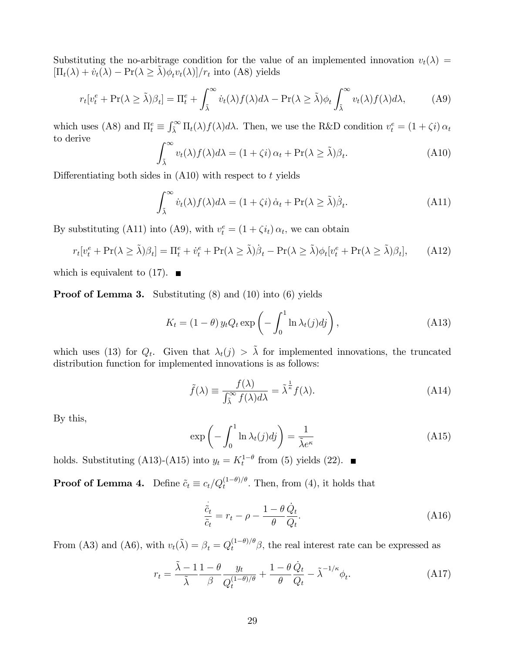Substituting the no-arbitrage condition for the value of an implemented innovation  $v_t(\lambda)$  $[\Pi_t(\lambda) + \dot{v}_t(\lambda) - \Pr(\lambda \ge \tilde{\lambda})\dot{\phi_t}v_t(\lambda)]/r_t$  into (A8) yields

$$
r_t[v_t^e + \Pr(\lambda \ge \tilde{\lambda})\beta_t] = \Pi_t^e + \int_{\tilde{\lambda}}^{\infty} \dot{v}_t(\lambda) f(\lambda) d\lambda - \Pr(\lambda \ge \tilde{\lambda}) \phi_t \int_{\tilde{\lambda}}^{\infty} v_t(\lambda) f(\lambda) d\lambda, \tag{A9}
$$

which uses (A8) and  $\Pi_t^e \equiv \int_{\tilde{\lambda}}^{\infty} \Pi_t(\lambda) f(\lambda) d\lambda$ . Then, we use the R&D condition  $v_t^e = (1 + \zeta i) \alpha_t$ to derive

$$
\int_{\tilde{\lambda}}^{\infty} v_t(\lambda) f(\lambda) d\lambda = (1 + \zeta i) \alpha_t + \Pr(\lambda \ge \tilde{\lambda}) \beta_t.
$$
 (A10)

Differentiating both sides in  $(A10)$  with respect to t yields

$$
\int_{\tilde{\lambda}}^{\infty} \dot{v}_t(\lambda) f(\lambda) d\lambda = (1 + \zeta i) \dot{\alpha}_t + \Pr(\lambda \ge \tilde{\lambda}) \dot{\beta}_t.
$$
 (A11)

By substituting (A11) into (A9), with  $v_t^e = (1 + \zeta i_t) \alpha_t$ , we can obtain

$$
r_t[v_t^e + \Pr(\lambda \ge \tilde{\lambda})\beta_t] = \Pi_t^e + \dot{v}_t^e + \Pr(\lambda \ge \tilde{\lambda})\dot{\beta}_t - \Pr(\lambda \ge \tilde{\lambda})\phi_t[v_t^e + \Pr(\lambda \ge \tilde{\lambda})\beta_t],\tag{A12}
$$

which is equivalent to  $(17)$ .

Proof of Lemma 3. Substituting (8) and (10) into (6) yields

$$
K_t = (1 - \theta) y_t Q_t \exp\left(-\int_0^1 \ln \lambda_t(j) d j\right), \tag{A13}
$$

which uses (13) for  $Q_t$ . Given that  $\lambda_t(j) > \tilde{\lambda}$  for implemented innovations, the truncated distribution function for implemented innovations is as follows:

$$
\tilde{f}(\lambda) \equiv \frac{f(\lambda)}{\int_{\tilde{\lambda}}^{\infty} f(\lambda) d\lambda} = \tilde{\lambda}^{\frac{1}{\kappa}} f(\lambda).
$$
\n(A14)

By this,

$$
\exp\left(-\int_0^1 \ln \lambda_t(j)dj\right) = \frac{1}{\tilde{\lambda}e^{\kappa}}
$$
\n(A15)

holds. Substituting (A13)-(A15) into  $y_t = K_t^{1-\theta}$  from (5) yields (22).

**Proof of Lemma 4.** Define  $\tilde{c}_t \equiv c_t/Q_t^{(1-\theta)/\theta}$ . Then, from (4), it holds that

$$
\frac{\dot{\tilde{c}}_t}{\tilde{c}_t} = r_t - \rho - \frac{1 - \theta}{\theta} \frac{\dot{Q}_t}{Q_t}.
$$
\n(A16)

From (A3) and (A6), with  $v_t(\tilde{\lambda}) = \beta_t = Q_t^{(1-\theta)/\theta} \beta$ , the real interest rate can be expressed as

$$
r_t = \frac{\tilde{\lambda} - 1}{\tilde{\lambda}} \frac{1 - \theta}{\beta} \frac{y_t}{Q_t^{(1 - \theta)/\theta}} + \frac{1 - \theta}{\theta} \frac{\dot{Q}_t}{Q_t} - \tilde{\lambda}^{-1/\kappa} \phi_t.
$$
 (A17)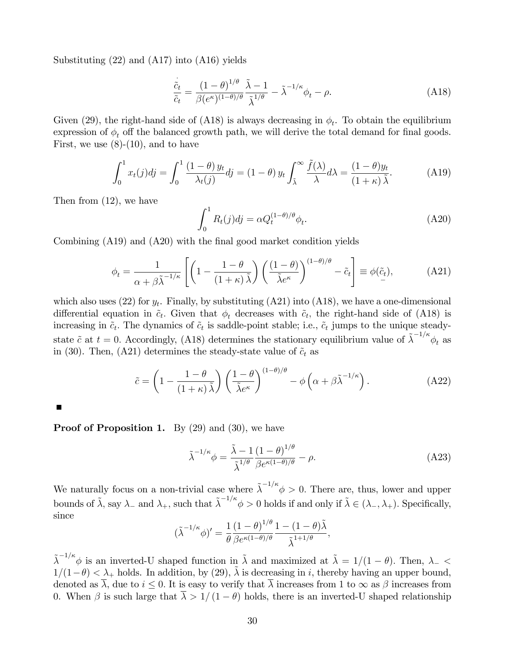Substituting (22) and (A17) into (A16) yields

$$
\frac{\dot{\tilde{c}}_t}{\tilde{c}_t} = \frac{(1-\theta)^{1/\theta}}{\beta(e^{\kappa})(1-\theta)/\theta} \frac{\tilde{\lambda}-1}{\tilde{\lambda}^{1/\theta}} - \tilde{\lambda}^{-1/\kappa} \phi_t - \rho.
$$
\n(A18)

Given (29), the right-hand side of (A18) is always decreasing in  $\phi_t$ . To obtain the equilibrium expression of  $\phi_t$  off the balanced growth path, we will derive the total demand for final goods. First, we use  $(8)-(10)$ , and to have

$$
\int_0^1 x_t(j)dj = \int_0^1 \frac{(1-\theta)y_t}{\lambda_t(j)}dj = (1-\theta)y_t \int_{\tilde{\lambda}}^\infty \frac{\tilde{f}(\lambda)}{\lambda} d\lambda = \frac{(1-\theta)y_t}{(1+\kappa)\tilde{\lambda}}.\tag{A19}
$$

Then from (12), we have

$$
\int_0^1 R_t(j)dj = \alpha Q_t^{(1-\theta)/\theta} \phi_t.
$$
 (A20)

Combining (A19) and (A20) with the final good market condition yields

$$
\phi_t = \frac{1}{\alpha + \beta \tilde{\lambda}^{-1/\kappa}} \left[ \left( 1 - \frac{1 - \theta}{(1 + \kappa) \tilde{\lambda}} \right) \left( \frac{(1 - \theta)}{\tilde{\lambda} e^{\kappa}} \right)^{(1 - \theta)/\theta} - \tilde{c}_t \right] \equiv \phi(\tilde{c}_t), \tag{A21}
$$

which also uses (22) for  $y_t$ . Finally, by substituting (A21) into (A18), we have a one-dimensional differential equation in  $\tilde{c}_t$ . Given that  $\phi_t$  decreases with  $\tilde{c}_t$ , the right-hand side of (A18) is increasing in  $\tilde{c}_t$ . The dynamics of  $\tilde{c}_t$  is saddle-point stable; i.e.,  $\tilde{c}_t$  jumps to the unique steadystate  $\tilde{c}$  at  $t = 0$ . Accordingly, (A18) determines the stationary equilibrium value of  $\tilde{\lambda}^{-1/\kappa} \phi_t$  as in (30). Then, (A21) determines the steady-state value of  $\tilde{c}_t$  as

$$
\tilde{c} = \left(1 - \frac{1 - \theta}{\left(1 + \kappa\right)\tilde{\lambda}}\right) \left(\frac{1 - \theta}{\tilde{\lambda}e^{\kappa}}\right)^{(1 - \theta)/\theta} - \phi\left(\alpha + \beta\tilde{\lambda}^{-1/\kappa}\right). \tag{A22}
$$

**Proof of Proposition 1.** By  $(29)$  and  $(30)$ , we have

$$
\tilde{\lambda}^{-1/\kappa}\phi = \frac{\tilde{\lambda} - 1}{\tilde{\lambda}^{1/\theta}} \frac{\left(1 - \theta\right)^{1/\theta}}{\beta e^{\kappa(1 - \theta)/\theta}} - \rho.
$$
\n(A23)

We naturally focus on a non-trivial case where  $\tilde{\lambda}^{-1/\kappa} \phi > 0$ . There are, thus, lower and upper bounds of  $\tilde{\lambda}$ , say  $\lambda_-$  and  $\lambda_+$ , such that  $\tilde{\lambda}^{-1/\kappa} \phi > 0$  holds if and only if  $\tilde{\lambda} \in (\lambda_-, \lambda_+)$ . Specifically, since  $10^{-10}$ 

$$
(\tilde{\lambda}^{-1/\kappa}\phi)' = \frac{1}{\theta} \frac{(1-\theta)^{1/\theta}}{\beta e^{\kappa(1-\theta)/\theta}} \frac{1-(1-\theta)\tilde{\lambda}}{\tilde{\lambda}^{1+1/\theta}},
$$

 $\tilde{\lambda}^{-1/\kappa} \phi$  is an inverted-U shaped function in  $\tilde{\lambda}$  and maximized at  $\tilde{\lambda} = 1/(1 - \theta)$ . Then,  $\lambda_{-} <$  $1/(1-\theta) < \lambda_+$  holds. In addition, by (29),  $\tilde{\lambda}$  is decreasing in i, thereby having an upper bound, denoted as  $\overline{\lambda}$ , due to  $i \leq 0$ . It is easy to verify that  $\overline{\lambda}$  increases from 1 to  $\infty$  as  $\beta$  increases from 0. When  $\beta$  is such large that  $\overline{\lambda} > 1/(1 - \theta)$  holds, there is an inverted-U shaped relationship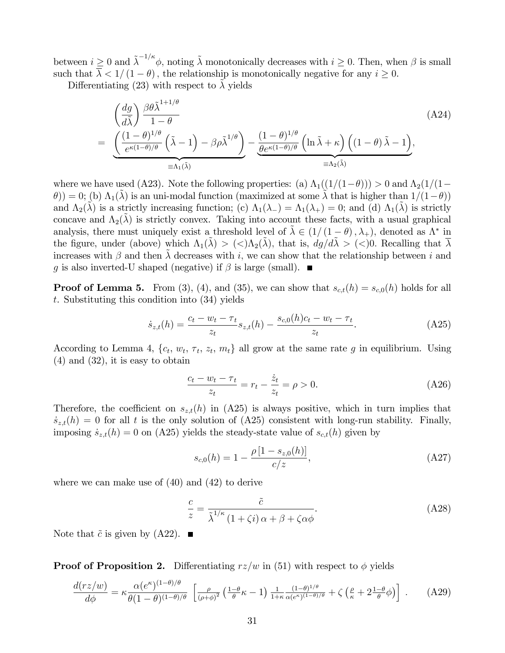between  $i \geq 0$  and  $\tilde{\lambda}^{-1/\kappa} \phi$ , noting  $\tilde{\lambda}$  monotonically decreases with  $i \geq 0$ . Then, when  $\beta$  is small such that  $\overline{\lambda} < 1/(1 - \theta)$ , the relationship is monotonically negative for any  $i \ge 0$ .

Differentiating (23) with respect to  $\lambda$  yields

$$
\begin{split} & \left( \frac{dg}{d\tilde{\lambda}} \right) \frac{\beta \theta \tilde{\lambda}^{1+1/\theta}}{1-\theta} \\ & = \underbrace{\left( \frac{(1-\theta)^{1/\theta}}{e^{\kappa(1-\theta)/\theta}} \left( \tilde{\lambda} - 1 \right) - \beta \rho \tilde{\lambda}^{1/\theta} \right)}_{\equiv \Lambda_1(\tilde{\lambda})} - \underbrace{\frac{(1-\theta)^{1/\theta}}{\theta e^{\kappa(1-\theta)/\theta}} \left( \ln \tilde{\lambda} + \kappa \right) \left( (1-\theta) \tilde{\lambda} - 1 \right)}_{\equiv \Lambda_2(\tilde{\lambda})}, \end{split} \tag{A24}
$$

where we have used (A23). Note the following properties: (a)  $\Lambda_1((1/(1-\theta))) > 0$  and  $\Lambda_2(1/(1-\theta))$  $(\theta)$ ) = 0; (b)  $\Lambda_1(\lambda)$  is an uni-modal function (maximized at some  $\lambda$  that is higher than  $1/(1-\theta)$ ) and  $\Lambda_2(\tilde{\lambda})$  is a strictly increasing function; (c)  $\Lambda_1(\lambda_-) = \Lambda_1(\lambda_+) = 0$ ; and (d)  $\Lambda_1(\lambda)$  is strictly concave and  $\Lambda_2(\lambda)$  is strictly convex. Taking into account these facts, with a usual graphical analysis, there must uniquely exist a threshold level of  $\tilde{\lambda} \in (1/(1 - \theta), \lambda_+)$ , denoted as  $\Lambda^*$  in the figure, under (above) which  $\Lambda_1(\lambda) > (<\lambda_2(\lambda)$ , that is,  $dg/d\lambda > (<)0$ . Recalling that  $\lambda$ increases with  $\beta$  and then  $\lambda$  decreases with i, we can show that the relationship between i and g is also inverted-U shaped (negative) if  $\beta$  is large (small).  $\blacksquare$ 

**Proof of Lemma 5.** From (3), (4), and (35), we can show that  $s_{c,t}(h) = s_{c,0}(h)$  holds for all t. Substituting this condition into (34) yields

$$
\dot{s}_{z,t}(h) = \frac{c_t - w_t - \tau_t}{z_t} s_{z,t}(h) - \frac{s_{c,0}(h)c_t - w_t - \tau_t}{z_t}.
$$
\n(A25)

According to Lemma 4,  $\{c_t, w_t, \tau_t, z_t, m_t\}$  all grow at the same rate g in equilibrium. Using (4) and (32), it is easy to obtain

$$
\frac{c_t - w_t - \tau_t}{z_t} = r_t - \frac{\dot{z}_t}{z_t} = \rho > 0.
$$
 (A26)

Therefore, the coefficient on  $s_{z,t}(h)$  in (A25) is always positive, which in turn implies that  $\dot{s}_{z,t}(h) = 0$  for all t is the only solution of (A25) consistent with long-run stability. Finally, imposing  $\dot{s}_{z,t}(h) = 0$  on (A25) yields the steady-state value of  $s_{c,t}(h)$  given by

$$
s_{c,0}(h) = 1 - \frac{\rho \left[1 - s_{z,0}(h)\right]}{c/z},\tag{A27}
$$

where we can make use of (40) and (42) to derive

$$
\frac{c}{z} = \frac{\tilde{c}}{\tilde{\lambda}^{1/\kappa} \left(1 + \zeta i\right) \alpha + \beta + \zeta \alpha \phi}.
$$
\n(A28)

Note that  $\tilde{c}$  is given by (A22).

**Proof of Proposition 2.** Differentiating  $rz/w$  in (51) with respect to  $\phi$  yields

$$
\frac{d(rz/w)}{d\phi} = \kappa \frac{\alpha(e^{\kappa})^{(1-\theta)/\theta}}{\theta(1-\theta)^{(1-\theta)/\theta}} \left[ \frac{\rho}{(\rho+\phi)^2} \left( \frac{1-\theta}{\theta}\kappa - 1 \right) \frac{1}{1+\kappa} \frac{(1-\theta)^{1/\theta}}{\alpha(e^{\kappa})^{(1-\theta)/\theta}} + \zeta \left( \frac{\rho}{\kappa} + 2\frac{1-\theta}{\theta} \phi \right) \right] \,. \tag{A29}
$$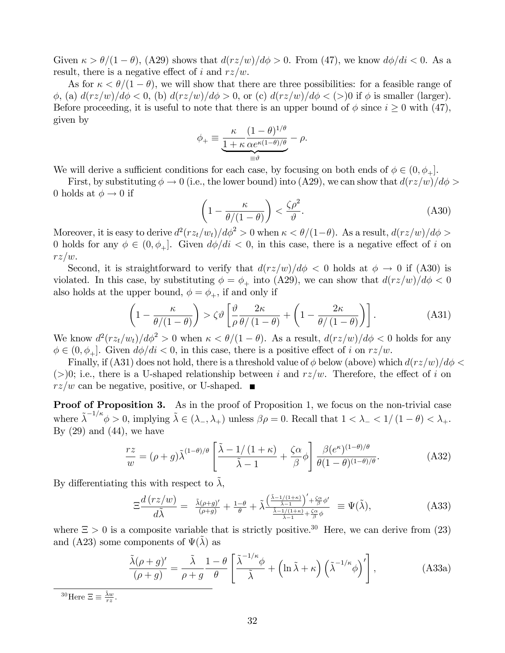Given  $\kappa > \theta/(1 - \theta)$ , (A29) shows that  $d(rz/w)/d\phi > 0$ . From (47), we know  $d\phi/di < 0$ . As a result, there is a negative effect of i and  $rz/w$ .

As for  $\kappa < \theta/(1 - \theta)$ , we will show that there are three possibilities: for a feasible range of  $\phi$ , (a)  $d(rz/w)/d\phi < 0$ , (b)  $d(rz/w)/d\phi > 0$ , or (c)  $d(rz/w)/d\phi < (>)0$  if  $\phi$  is smaller (larger). Before proceeding, it is useful to note that there is an upper bound of  $\phi$  since  $i \geq 0$  with (47), given by

$$
\phi_+ \equiv \underbrace{\frac{\kappa}{1+\kappa} \frac{(1-\theta)^{1/\theta}}{\alpha e^{\kappa(1-\theta)/\theta}}}_{\equiv \vartheta} - \rho.
$$

We will derive a sufficient conditions for each case, by focusing on both ends of  $\phi \in (0, \phi_+]$ .

First, by substituting  $\phi \to 0$  (i.e., the lower bound) into (A29), we can show that  $d(rz/w)/d\phi >$ 0 holds at  $\phi \rightarrow 0$  if

$$
\left(1 - \frac{\kappa}{\theta/(1-\theta)}\right) < \frac{\zeta \rho^2}{\vartheta}.\tag{A30}
$$

Moreover, it is easy to derive  $d^2(rz_t/w_t)/d\phi^2 > 0$  when  $\kappa < \theta/(1-\theta)$ . As a result,  $d(rz/w)/d\phi >$ 0 holds for any  $\phi \in (0, \phi_+]$ . Given  $d\phi/di < 0$ , in this case, there is a negative effect of i on  $rz/w.$ 

Second, it is straightforward to verify that  $d(rz/w)/d\phi < 0$  holds at  $\phi \to 0$  if (A30) is violated. In this case, by substituting  $\phi = \phi_+$  into (A29), we can show that  $d(rz/w)/d\phi < 0$ also holds at the upper bound,  $\phi = \phi_+$ , if and only if

$$
\left(1 - \frac{\kappa}{\theta/(1-\theta)}\right) > \zeta \vartheta \left[\frac{\vartheta}{\rho} \frac{2\kappa}{\theta/(1-\theta)} + \left(1 - \frac{2\kappa}{\theta/(1-\theta)}\right)\right].
$$
 (A31)

We know  $d^2(rz_t/w_t)/d\phi^2 > 0$  when  $\kappa < \theta/(1-\theta)$ . As a result,  $d(rz/w)/d\phi < 0$  holds for any  $\phi \in (0, \phi_+]$ . Given  $d\phi/di < 0$ , in this case, there is a positive effect of i on  $rz/w$ .

Finally, if (A31) does not hold, there is a threshold value of  $\phi$  below (above) which  $d(rz/w)/d\phi$ (>)0; i.e., there is a U-shaped relationship between i and  $rz/w$ . Therefore, the effect of i on  $rz/w$  can be negative, positive, or U-shaped.  $\blacksquare$ 

**Proof of Proposition 3.** As in the proof of Proposition 1, we focus on the non-trivial case where  $\tilde{\lambda}^{-1/\kappa} \phi > 0$ , implying  $\tilde{\lambda} \in (\lambda_-, \lambda_+)$  unless  $\beta \rho = 0$ . Recall that  $1 < \lambda_- < 1/(1 - \theta) < \lambda_+$ . By  $(29)$  and  $(44)$ , we have

$$
\frac{rz}{w} = (\rho + g)\tilde{\lambda}^{(1-\theta)/\theta} \left[ \frac{\tilde{\lambda} - 1/(1+\kappa)}{\tilde{\lambda} - 1} + \frac{\zeta \alpha}{\beta} \phi \right] \frac{\beta (e^{\kappa})^{(1-\theta)/\theta}}{\theta (1-\theta)^{(1-\theta)/\theta}}.
$$
 (A32)

By differentiating this with respect to  $\lambda$ ,

$$
\Xi \frac{d\left(\frac{rz}{w}\right)}{d\tilde{\lambda}} = \frac{\tilde{\lambda}(\rho+g)'}{(\rho+g)} + \frac{1-\theta}{\theta} + \tilde{\lambda} \frac{\left(\frac{\tilde{\lambda}-1}{2}\right)'\frac{\tilde{\lambda}(\rho+g)}{\tilde{\lambda}-1}}{\frac{\tilde{\lambda}-1}{\tilde{\lambda}-1}\frac{\tilde{\lambda}(\rho+g)}{\tilde{\beta}}\phi} \equiv \Psi(\tilde{\lambda}),\tag{A33}
$$

where  $\Xi > 0$  is a composite variable that is strictly positive.<sup>30</sup> Here, we can derive from (23) and (A23) some components of  $\Psi(\lambda)$  as

$$
\frac{\tilde{\lambda}(\rho+g)'}{(\rho+g)} = \frac{\tilde{\lambda}}{\rho+g} \frac{1-\theta}{\theta} \left[ \frac{\tilde{\lambda}^{-1/\kappa}\phi}{\tilde{\lambda}} + \left( \ln \tilde{\lambda} + \kappa \right) \left( \tilde{\lambda}^{-1/\kappa}\phi \right)' \right],
$$
\n(A33a)

<sup>30</sup>Here  $\Xi \equiv \frac{\tilde{\lambda}w}{rz}$ .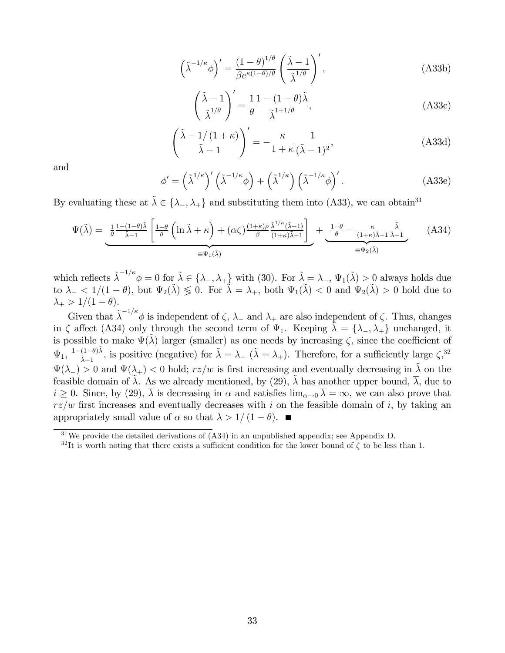$$
\left(\tilde{\lambda}^{-1/\kappa}\phi\right)' = \frac{\left(1-\theta\right)^{1/\theta}}{\beta e^{\kappa(1-\theta)/\theta}} \left(\frac{\tilde{\lambda}-1}{\tilde{\lambda}^{1/\theta}}\right)',\tag{A33b}
$$

$$
\left(\frac{\tilde{\lambda} - 1}{\tilde{\lambda}^{1/\theta}}\right)' = \frac{1}{\theta} \frac{1 - (1 - \theta)\tilde{\lambda}}{\tilde{\lambda}^{1 + 1/\theta}},\tag{A33c}
$$

$$
\left(\frac{\tilde{\lambda} - 1/(1+\kappa)}{\tilde{\lambda} - 1}\right)' = -\frac{\kappa}{1+\kappa} \frac{1}{(\tilde{\lambda} - 1)^2},\tag{A33d}
$$

and

$$
\phi' = \left(\tilde{\lambda}^{1/\kappa}\right)' \left(\tilde{\lambda}^{-1/\kappa}\phi\right) + \left(\tilde{\lambda}^{1/\kappa}\right) \left(\tilde{\lambda}^{-1/\kappa}\phi\right)'.
$$
 (A33e)

By evaluating these at  $\tilde{\lambda} \in {\lambda_-, \lambda_+}$  and substituting them into (A33), we can obtain<sup>31</sup>

$$
\Psi(\tilde{\lambda}) = \underbrace{\frac{1}{\theta} \frac{1 - (1 - \theta)\tilde{\lambda}}{\tilde{\lambda} - 1} \left[ \frac{1 - \theta}{\theta} \left( \ln \tilde{\lambda} + \kappa \right) + (\alpha \zeta) \frac{(1 + \kappa)\rho}{\beta} \frac{\tilde{\lambda}^{1/\kappa}(\tilde{\lambda} - 1)}{(1 + \kappa)\tilde{\lambda} - 1} \right]}_{\equiv \Psi_1(\tilde{\lambda})} + \underbrace{\frac{1 - \theta}{\theta} - \frac{\kappa}{(1 + \kappa)\tilde{\lambda} - 1} \frac{\tilde{\lambda}}{\tilde{\lambda} - 1}}_{\equiv \Psi_2(\tilde{\lambda})}
$$
(A34)

which reflects  $\tilde{\lambda}^{-1/\kappa} \phi = 0$  for  $\tilde{\lambda} \in {\{\lambda_-, \lambda_+\}}$  with (30). For  $\tilde{\lambda} = \lambda_-, \Psi_1(\tilde{\lambda}) > 0$  always holds due to  $\lambda_- < 1/(1 - \theta)$ , but  $\Psi_2(\tilde{\lambda}) \leq 0$ . For  $\tilde{\lambda} = \lambda_+$ , both  $\Psi_1(\tilde{\lambda}) < 0$  and  $\Psi_2(\tilde{\lambda}) > 0$  hold due to  $\lambda_+ > 1/(1 - \theta).$ 

Given that  $\tilde{\lambda}^{-1/\kappa} \phi$  is independent of  $\zeta$ ,  $\lambda_{-}$  and  $\lambda_{+}$  are also independent of  $\zeta$ . Thus, changes in  $\zeta$  affect (A34) only through the second term of  $\Psi_1$ . Keeping  $\tilde{\lambda} = {\lambda_-, \lambda_+}$  unchanged, it is possible to make  $\Psi(\tilde{\lambda})$  larger (smaller) as one needs by increasing  $\zeta$ , since the coefficient of  $\Psi_1, \frac{1-(1-\theta)\tilde{\lambda}}{\tilde{\lambda}-1}$  $\frac{(1-\theta)\lambda}{\tilde{\lambda}-1}$ , is positive (negative) for  $\tilde{\lambda} = \lambda_ (\tilde{\lambda} = \lambda_+)$ . Therefore, for a sufficiently large  $\zeta$ <sup>32</sup>,  $\Psi(\lambda_-) > 0$  and  $\Psi(\lambda_+) < 0$  hold;  $rz/w$  is first increasing and eventually decreasing in  $\tilde{\lambda}$  on the feasible domain of  $\tilde{\lambda}$ . As we already mentioned, by (29),  $\tilde{\lambda}$  has another upper bound,  $\overline{\lambda}$ , due to  $i > 0$ . Since, by (29),  $\overline{\lambda}$  is decreasing in  $\alpha$  and satisfies  $\lim_{\alpha \to 0} \overline{\lambda} = \infty$ , we can also prove that  $rz/w$  first increases and eventually decreases with i on the feasible domain of i, by taking an appropriately small value of  $\alpha$  so that  $\overline{\lambda} > 1/(1 - \theta)$ .

<sup>&</sup>lt;sup>31</sup>We provide the detailed derivations of  $(A34)$  in an unpublished appendix; see Appendix D.

<sup>&</sup>lt;sup>32</sup>It is worth noting that there exists a sufficient condition for the lower bound of  $\zeta$  to be less than 1.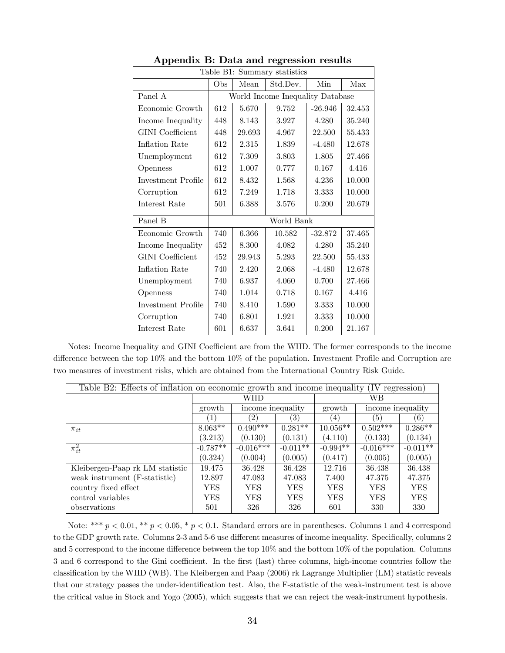| Table B1: Summary statistics |                                  |        |          |           |        |  |  |
|------------------------------|----------------------------------|--------|----------|-----------|--------|--|--|
|                              | Obs                              | Mean   | Std.Dev. | Min       | Max    |  |  |
| Panel A                      | World Income Inequality Database |        |          |           |        |  |  |
| Economic Growth              | 612                              | 5.670  | 9.752    | $-26.946$ | 32.453 |  |  |
| Income Inequality            | 448                              | 8.143  | 3.927    | 4.280     | 35.240 |  |  |
| <b>GINI</b> Coefficient      | 448                              | 29.693 | 4.967    | 22.500    | 55.433 |  |  |
| Inflation Rate               | 612                              | 2.315  | 1.839    | $-4.480$  | 12.678 |  |  |
| Unemployment                 | 612                              | 7.309  | 3.803    | 1.805     | 27.466 |  |  |
| Openness                     | 612                              | 1.007  | 0.777    | 0.167     | 4.416  |  |  |
| Investment Profile           | 612                              | 8.432  | 1.568    | 4.236     | 10.000 |  |  |
| Corruption                   | 612                              | 7.249  | 1.718    | 3.333     | 10.000 |  |  |
| Interest Rate                | 501                              | 6.388  | 3.576    | 0.200     | 20.679 |  |  |
| Panel B                      | World Bank                       |        |          |           |        |  |  |
| Economic Growth              | 740                              | 6.366  | 10.582   | $-32.872$ | 37.465 |  |  |
| Income Inequality            | 452                              | 8.300  | 4.082    | 4.280     | 35.240 |  |  |
| <b>GINI</b> Coefficient      | 452                              | 29.943 | 5.293    | 22.500    | 55.433 |  |  |
| Inflation Rate               | 740                              | 2.420  | 2.068    | $-4.480$  | 12.678 |  |  |
| Unemployment                 | 740                              | 6.937  | 4.060    | 0.700     | 27.466 |  |  |
| Openness                     | 740                              | 1.014  | 0.718    | 0.167     | 4.416  |  |  |
| Investment Profile           | 740                              | 8.410  | 1.590    | 3.333     | 10.000 |  |  |
| Corruption                   | 740                              | 6.801  | 1.921    | 3.333     | 10.000 |  |  |
| Interest Rate                | 601                              | 6.637  | 3.641    | 0.200     | 21.167 |  |  |

Appendix B: Data and regression results

Notes: Income Inequality and GINI Coefficient are from the WIID. The former corresponds to the income difference between the top  $10\%$  and the bottom  $10\%$  of the population. Investment Profile and Corruption are two measures of investment risks, which are obtained from the International Country Risk Guide.

| Table B2: Effects of inflation on economic growth and income inequality<br>(IV<br>regression) |            |                   |            |                  |                       |            |  |
|-----------------------------------------------------------------------------------------------|------------|-------------------|------------|------------------|-----------------------|------------|--|
|                                                                                               |            | WIID              |            | WВ               |                       |            |  |
|                                                                                               | growth     | income inequality |            | growth           | income inequality     |            |  |
|                                                                                               |            | (2)               | 3)         | $\left(4\right)$ | 5                     | (6)        |  |
| $\pi_{it}$                                                                                    | $8.063**$  | $0.490***$        | $0.281**$  | $10.056**$       | $0.50\overline{2***}$ | $0.286**$  |  |
|                                                                                               | (3.213)    | (0.130)           | (0.131)    | (4.110)          | (0.133)               | (0.134)    |  |
| $\overline{\pi_{it}^2}$                                                                       | $-0.787**$ | $-0.016***$       | $-0.011**$ | $-0.994**$       | $-0.016***$           | $-0.011**$ |  |
|                                                                                               | (0.324)    | (0.004)           | (0.005)    | (0.417)          | (0.005)               | (0.005)    |  |
| Kleibergen-Paap rk LM statistic                                                               | 19.475     | 36.428            | 36.428     | 12.716           | 36.438                | 36.438     |  |
| weak instrument (F-statistic)                                                                 | 12.897     | 47.083            | 47.083     | 7.400            | 47.375                | 47.375     |  |
| country fixed effect                                                                          | YES        | YES               | <b>YES</b> | YES              | YES                   | <b>YES</b> |  |
| control variables                                                                             | <b>YES</b> | YES               | YES        | YES              | YES                   | <b>YES</b> |  |
| observations                                                                                  | 501        | 326               | 326        | 601              | 330                   | 330        |  |

Note: \*\*\*  $p < 0.01$ , \*\*  $p < 0.05$ , \*  $p < 0.1$ . Standard errors are in parentheses. Columns 1 and 4 correspond to the GDP growth rate. Columns 2-3 and 5-6 use different measures of income inequality. Specifically, columns 2 and 5 correspond to the income difference between the top  $10\%$  and the bottom  $10\%$  of the population. Columns 3 and 6 correspond to the Gini coefficient. In the first (last) three columns, high-income countries follow the classification by the WIID (WB). The Kleibergen and Paap (2006) rk Lagrange Multiplier (LM) statistic reveals that our strategy passes the under-identification test. Also, the F-statistic of the weak-instrument test is above the critical value in Stock and Yogo (2005), which suggests that we can reject the weak-instrument hypothesis.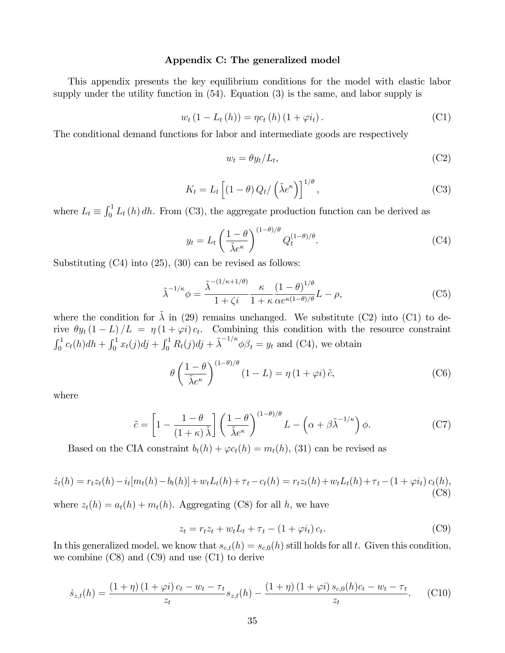### Appendix C: The generalized model

This appendix presents the key equilibrium conditions for the model with elastic labor supply under the utility function in (54). Equation (3) is the same, and labor supply is

$$
w_t (1 - L_t (h)) = \eta c_t (h) (1 + \varphi i_t).
$$
 (C1)

The conditional demand functions for labor and intermediate goods are respectively

$$
w_t = \theta y_t / L_t,\tag{C2}
$$

$$
K_t = L_t \left[ (1 - \theta) Q_t / \left( \tilde{\lambda} e^{\kappa} \right) \right]^{1/\theta}, \tag{C3}
$$

where  $L_t \equiv \int_0^1 L_t(h) dh$ . From (C3), the aggregate production function can be derived as

$$
y_t = L_t \left(\frac{1-\theta}{\tilde{\lambda}e^{\kappa}}\right)^{(1-\theta)/\theta} Q_t^{(1-\theta)/\theta}.
$$
 (C4)

Substituting (C4) into (25), (30) can be revised as follows:

$$
\tilde{\lambda}^{-1/\kappa}\phi = \frac{\tilde{\lambda}^{-(1/\kappa+1/\theta)}}{1+\zeta i} \frac{\kappa}{1+\kappa} \frac{(1-\theta)^{1/\theta}}{\alpha e^{\kappa(1-\theta)/\theta}} L - \rho,\tag{C5}
$$

where the condition for  $\tilde{\lambda}$  in (29) remains unchanged. We substitute (C2) into (C1) to derive  $\theta y_t (1 - L) / L = \eta (1 + \varphi i) c_t$ . Combining this condition with the resource constraint  $\int_0^1 c_t(h)dh + \int_0^1 x_t(j)dj + \int_0^1 R_t(j)dj + \tilde{\lambda}^{-1/\kappa} \phi \beta_t = y_t$  and (C4), we obtain

$$
\theta \left( \frac{1 - \theta}{\tilde{\lambda} e^{\kappa}} \right)^{(1 - \theta)/\theta} (1 - L) = \eta (1 + \varphi i) \tilde{c}, \tag{C6}
$$

where

$$
\tilde{c} = \left[1 - \frac{1 - \theta}{(1 + \kappa)\tilde{\lambda}}\right] \left(\frac{1 - \theta}{\tilde{\lambda}e^{\kappa}}\right)^{(1 - \theta)/\theta} L - \left(\alpha + \beta\tilde{\lambda}^{-1/\kappa}\right)\phi.
$$
 (C7)

Based on the CIA constraint  $b_t(h) + \varphi c_t(h) = m_t(h)$ , (31) can be revised as

$$
\dot{z}_t(h) = r_t z_t(h) - i_t[m_t(h) - b_t(h)] + w_t L_t(h) + \tau_t - c_t(h) = r_t z_t(h) + w_t L_t(h) + \tau_t - (1 + \varphi i_t) c_t(h),
$$
\n(C8)

where  $z_t(h) = a_t(h) + m_t(h)$ . Aggregating (C8) for all h, we have

$$
z_t = r_t z_t + w_t L_t + \tau_t - (1 + \varphi i_t) c_t.
$$
 (C9)

In this generalized model, we know that  $s_{c,t}(h) = s_{c,0}(h)$  still holds for all t. Given this condition, we combine (C8) and (C9) and use (C1) to derive

$$
\dot{s}_{z,t}(h) = \frac{(1+\eta)(1+\varphi i)c_t - w_t - \tau_t}{z_t} s_{z,t}(h) - \frac{(1+\eta)(1+\varphi i)s_{c,0}(h)c_t - w_t - \tau_t}{z_t}.
$$
 (C10)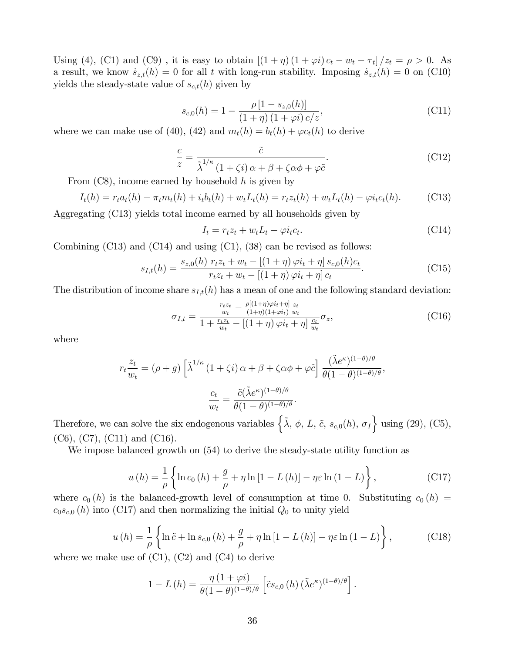Using (4), (C1) and (C9), it is easy to obtain  $[(1 + \eta) (1 + \varphi i) c_t - w_t - \tau_t]/z_t = \rho > 0$ . As a result, we know  $\dot{s}_{z,t}(h) = 0$  for all t with long-run stability. Imposing  $\dot{s}_{z,t}(h) = 0$  on (C10) yields the steady-state value of  $s_{c,t}(h)$  given by

$$
s_{c,0}(h) = 1 - \frac{\rho [1 - s_{z,0}(h)]}{(1 + \eta) (1 + \varphi i) c/z},
$$
\n(C11)

where we can make use of (40), (42) and  $m_t(h) = b_t(h) + \varphi c_t(h)$  to derive

$$
\frac{c}{z} = \frac{\tilde{c}}{\tilde{\lambda}^{1/\kappa} \left(1 + \zeta i\right) \alpha + \beta + \zeta \alpha \phi + \varphi \tilde{c}}.
$$
\n(C12)

From  $(C8)$ , income earned by household h is given by

$$
I_t(h) = r_t a_t(h) - \pi_t m_t(h) + i_t b_t(h) + w_t L_t(h) = r_t z_t(h) + w_t L_t(h) - \varphi i_t c_t(h).
$$
 (C13)

Aggregating (C13) yields total income earned by all households given by

$$
I_t = r_t z_t + w_t L_t - \varphi i_t c_t.
$$
\n(C14)

Combining  $(C13)$  and  $(C14)$  and using  $(C1)$ ,  $(38)$  can be revised as follows:

$$
s_{I,t}(h) = \frac{s_{z,0}(h) r_t z_t + w_t - [(1+\eta)\varphi i_t + \eta] s_{c,0}(h)c_t}{r_t z_t + w_t - [(1+\eta)\varphi i_t + \eta] c_t}.
$$
 (C15)

The distribution of income share  $s_{I,t}(h)$  has a mean of one and the following standard deviation:

$$
\sigma_{I,t} = \frac{\frac{r_t z_t}{w_t} - \frac{\rho[(1+\eta)\varphi i_t + \eta]}{(1+\eta)(1+\varphi i_t)} \frac{z_t}{w_t}}{1 + \frac{r_t z_t}{w_t} - [(1+\eta)\varphi i_t + \eta] \frac{c_t}{w_t}} \sigma_z,
$$
\n(C16)

where

$$
r_t \frac{z_t}{w_t} = (\rho + g) \left[ \tilde{\lambda}^{1/\kappa} \left( 1 + \zeta i \right) \alpha + \beta + \zeta \alpha \phi + \varphi \tilde{c} \right] \frac{(\tilde{\lambda} e^{\kappa})^{(1-\theta)/\theta}}{\theta (1-\theta)^{(1-\theta)/\theta}},
$$

$$
\frac{c_t}{w_t} = \frac{\tilde{c} (\tilde{\lambda} e^{\kappa})^{(1-\theta)/\theta}}{\theta (1-\theta)^{(1-\theta)/\theta}}.
$$

Therefore, we can solve the six endogenous variables  $\left\{ \tilde{\lambda}, \phi, L, \tilde{c}, s_{c,0}(h), \sigma_{I} \right\}$  using (29), (C5),  $(C6)$ ,  $(C7)$ ,  $(C11)$  and  $(C16)$ .

We impose balanced growth on (54) to derive the steady-state utility function as

$$
u(h) = \frac{1}{\rho} \left\{ \ln c_0(h) + \frac{g}{\rho} + \eta \ln \left[ 1 - L(h) \right] - \eta \varepsilon \ln \left( 1 - L \right) \right\},\tag{C17}
$$

where  $c_0(h)$  is the balanced-growth level of consumption at time 0. Substituting  $c_0(h)$  =  $c_0s_{c,0}(h)$  into (C17) and then normalizing the initial  $Q_0$  to unity yield

$$
u(h) = \frac{1}{\rho} \left\{ \ln \tilde{c} + \ln s_{c,0}(h) + \frac{g}{\rho} + \eta \ln \left[ 1 - L(h) \right] - \eta \varepsilon \ln \left( 1 - L \right) \right\},\tag{C18}
$$

where we make use of  $(C1)$ ,  $(C2)$  and  $(C4)$  to derive

$$
1 - L(h) = \frac{\eta (1 + \varphi i)}{\theta (1 - \theta)^{(1 - \theta)/\theta}} \left[ \tilde{c} s_{c,0}(h) \left( \tilde{\lambda} e^{\kappa} \right)^{(1 - \theta)/\theta} \right].
$$